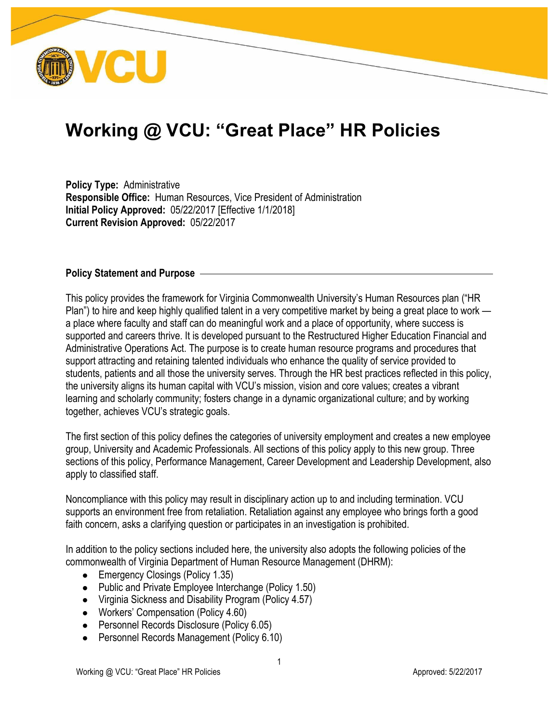

# **Working @ VCU: "Great Place" HR Policies**

**Policy Type:** Administrative **Responsible Office:** Human Resources, Vice President of Administration **Initial Policy Approved:** 05/22/2017 [Effective 1/1/2018] **Current Revision Approved:** 05/22/2017

#### **Policy Statement and Purpose**

This policy provides the framework for Virginia Commonwealth University's Human Resources plan ("HR Plan") to hire and keep highly qualified talent in a very competitive market by being a great place to work a place where faculty and staff can do meaningful work and a place of opportunity, where success is supported and careers thrive. It is developed pursuant to the Restructured Higher Education Financial and Administrative Operations Act. The purpose is to create human resource programs and procedures that support attracting and retaining talented individuals who enhance the quality of service provided to students, patients and all those the university serves. Through the HR best practices reflected in this policy, the university aligns its human capital with VCU's mission, vision and core values; creates a vibrant learning and scholarly community; fosters change in a dynamic organizational culture; and by working together, achieves VCU's strategic goals.

The first section of this policy defines the categories of university employment and creates a new employee group, University and Academic Professionals. All sections of this policy apply to this new group. Three sections of this policy, Performance Management, Career Development and Leadership Development, also apply to classified staff.

Noncompliance with this policy may result in disciplinary action up to and including termination. VCU supports an environment free from retaliation. Retaliation against any employee who brings forth a good faith concern, asks a clarifying question or participates in an investigation is prohibited.

In addition to the policy sections included here, the university also adopts the following policies of the commonwealth of Virginia Department of Human Resource Management (DHRM):

- Emergency Closings (Policy 1.35)
- Public and Private Employee Interchange (Policy 1.50)
- Virginia Sickness and Disability Program (Policy 4.57)
- Workers' Compensation (Policy 4.60)
- Personnel Records Disclosure (Policy 6.05)
- Personnel Records Management (Policy 6.10)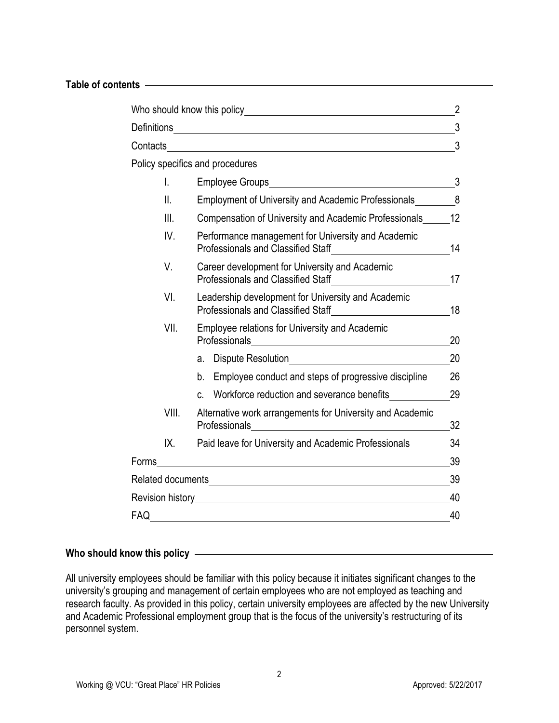#### **Table of contents**

|                    |               | Who should know this policy will be a state of the state of the state of the state of the state of the state o | 2  |  |
|--------------------|---------------|----------------------------------------------------------------------------------------------------------------|----|--|
| <b>Definitions</b> |               | <u> 1989 - Johann Stein, mars an de Brasilia (b. 19</u>                                                        | 3  |  |
| Contacts           |               |                                                                                                                | 3  |  |
|                    |               | Policy specifics and procedures                                                                                |    |  |
|                    | $\mathsf{L}$  | <b>Employee Groups</b>                                                                                         | 3  |  |
|                    | $\parallel$ . | <b>Employment of University and Academic Professionals</b>                                                     | 8  |  |
|                    | III.          | Compensation of University and Academic Professionals                                                          | 12 |  |
|                    | IV.           | Performance management for University and Academic<br><b>Professionals and Classified Staff</b>                | 14 |  |
|                    | V.            | Career development for University and Academic<br><b>Professionals and Classified Staff</b>                    | 17 |  |
|                    | VI.           | Leadership development for University and Academic<br><b>Professionals and Classified Staff</b>                |    |  |
| VII.               |               | <b>Employee relations for University and Academic</b><br>Professionals                                         |    |  |
|                    |               | Dispute Resolution<br>a.                                                                                       | 20 |  |
|                    |               | Employee conduct and steps of progressive discipline<br>b.                                                     | 26 |  |
|                    |               | Workforce reduction and severance benefits<br>C.                                                               | 29 |  |
|                    | VIII.         | Alternative work arrangements for University and Academic<br>Professionals                                     | 32 |  |
|                    | IX.           | Paid leave for University and Academic Professionals                                                           | 34 |  |
| Forms              |               |                                                                                                                | 39 |  |
|                    |               | Related documents <b>Container and Container and Container and Container and Container and Container</b>       | 39 |  |
| Revision history   |               |                                                                                                                | 40 |  |
| FAQ                |               |                                                                                                                | 40 |  |

# **Who should know this policy**

All university employees should be familiar with this policy because it initiates significant changes to the university's grouping and management of certain employees who are not employed as teaching and research faculty. As provided in this policy, certain university employees are affected by the new University and Academic Professional employment group that is the focus of the university's restructuring of its personnel system.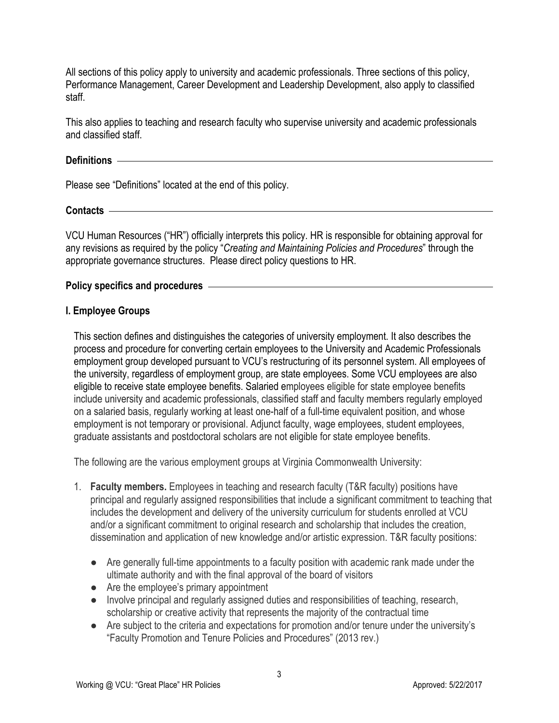All sections of this policy apply to university and academic professionals. Three sections of this policy, Performance Management, Career Development and Leadership Development, also apply to classified staff.

This also applies to teaching and research faculty who supervise university and academic professionals and classified staff.

# **Definitions**

Please see "Definitions" located at the end of this policy.

#### **Contacts**

VCU Human Resources ("HR") officially interprets this policy. HR is responsible for obtaining approval for any revisions as required by the policy "*Creating and Maintaining Policies and Procedures*" through the appropriate governance structures. Please direct policy questions to HR.

#### **Policy specifics and procedures**

#### **I. Employee Groups**

This section defines and distinguishes the categories of university employment. It also describes the process and procedure for converting certain employees to the University and Academic Professionals employment group developed pursuant to VCU's restructuring of its personnel system. All employees of the university, regardless of employment group, are state employees. Some VCU employees are also eligible to receive state employee benefits. Salaried employees eligible for state employee benefits include university and academic professionals, classified staff and faculty members regularly employed on a salaried basis, regularly working at least one-half of a full-time equivalent position, and whose employment is not temporary or provisional. Adjunct faculty, wage employees, student employees, graduate assistants and postdoctoral scholars are not eligible for state employee benefits.

The following are the various employment groups at Virginia Commonwealth University:

- 1. **Faculty members.** Employees in teaching and research faculty (T&R faculty) positions have principal and regularly assigned responsibilities that include a significant commitment to teaching that includes the development and delivery of the university curriculum for students enrolled at VCU and/or a significant commitment to original research and scholarship that includes the creation, dissemination and application of new knowledge and/or artistic expression. T&R faculty positions:
	- Are generally full-time appointments to a faculty position with academic rank made under the ultimate authority and with the final approval of the board of visitors
	- Are the employee's primary appointment
	- Involve principal and regularly assigned duties and responsibilities of teaching, research, scholarship or creative activity that represents the majority of the contractual time
	- Are subject to the criteria and expectations for promotion and/or tenure under the university's "Faculty Promotion and Tenure Policies and Procedures" (2013 rev.)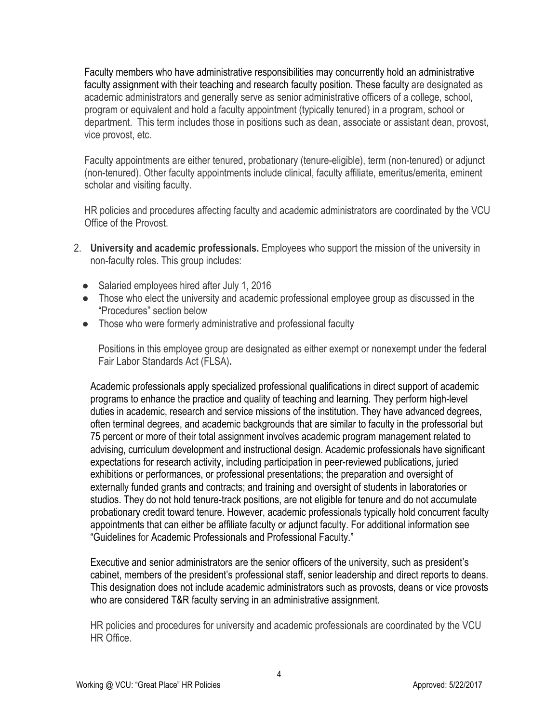Faculty members who have administrative responsibilities may concurrently hold an administrative faculty assignment with their teaching and research faculty position. These faculty are designated as academic administrators and generally serve as senior administrative officers of a college, school, program or equivalent and hold a faculty appointment (typically tenured) in a program, school or department. This term includes those in positions such as dean, associate or assistant dean, provost, vice provost, etc.

Faculty appointments are either tenured, probationary (tenure-eligible), term (non-tenured) or adjunct (non-tenured). Other faculty appointments include clinical, faculty affiliate, emeritus/emerita, eminent scholar and visiting faculty.

HR policies and procedures affecting faculty and academic administrators are coordinated by the VCU Office of the Provost.

- 2. **University and academic professionals.** Employees who support the mission of the university in non-faculty roles. This group includes:
	- Salaried employees hired after July 1, 2016
	- Those who elect the university and academic professional employee group as discussed in the "Procedures" section below
	- Those who were formerly administrative and professional faculty

Positions in this employee group are designated as either exempt or nonexempt under the federal Fair Labor Standards Act (FLSA)**.** 

Academic professionals apply specialized professional qualifications in direct support of academic programs to enhance the practice and quality of teaching and learning. They perform high-level duties in academic, research and service missions of the institution. They have advanced degrees, often terminal degrees, and academic backgrounds that are similar to faculty in the professorial but 75 percent or more of their total assignment involves academic program management related to advising, curriculum development and instructional design. Academic professionals have significant expectations for research activity, including participation in peer-reviewed publications, juried exhibitions or performances, or professional presentations; the preparation and oversight of externally funded grants and contracts; and training and oversight of students in laboratories or studios. They do not hold tenure-track positions, are not eligible for tenure and do not accumulate probationary credit toward tenure. However, academic professionals typically hold concurrent faculty appointments that can either be affiliate faculty or adjunct faculty. For additional information see "Guidelines for Academic Professionals and Professional Faculty."

Executive and senior administrators are the senior officers of the university, such as president's cabinet, members of the president's professional staff, senior leadership and direct reports to deans. This designation does not include academic administrators such as provosts, deans or vice provosts who are considered T&R faculty serving in an administrative assignment.

HR policies and procedures for university and academic professionals are coordinated by the VCU HR Office.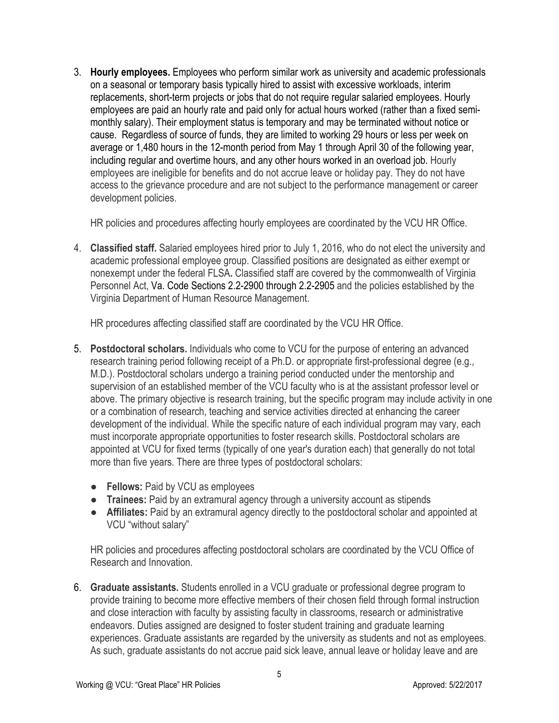3. **Hourly employees.** Employees who perform similar work as university and academic professionals on a seasonal or temporary basis typically hired to assist with excessive workloads, interim replacements, short-term projects or jobs that do not require regular salaried employees. Hourly employees are paid an hourly rate and paid only for actual hours worked (rather than a fixed semimonthly salary). Their employment status is temporary and may be terminated without notice or cause. Regardless of source of funds, they are limited to working 29 hours or less per week on average or 1,480 hours in the 12-month period from May 1 through April 30 of the following year, including regular and overtime hours, and any other hours worked in an overload job. Hourly employees are ineligible for benefits and do not accrue leave or holiday pay. They do not have access to the grievance procedure and are not subject to the performance management or career development policies.

HR policies and procedures affecting hourly employees are coordinated by the VCU HR Office.

4. **Classified staff.** Salaried employees hired prior to July 1, 2016, who do not elect the university and academic professional employee group. Classified positions are designated as either exempt or nonexempt under the federal FLSA**.** Classified staff are covered by the commonwealth of Virginia Personnel Act, Va. Code Sections 2.2-2900 through 2.2-2905 and the policies established by the Virginia Department of Human Resource Management.

HR procedures affecting classified staff are coordinated by the VCU HR Office.

- 5. **Postdoctoral scholars.** Individuals who come to VCU for the purpose of entering an advanced research training period following receipt of a Ph.D. or appropriate first-professional degree (e.g., M.D.). Postdoctoral scholars undergo a training period conducted under the mentorship and supervision of an established member of the VCU faculty who is at the assistant professor level or above. The primary objective is research training, but the specific program may include activity in one or a combination of research, teaching and service activities directed at enhancing the career development of the individual. While the specific nature of each individual program may vary, each must incorporate appropriate opportunities to foster research skills. Postdoctoral scholars are appointed at VCU for fixed terms (typically of one year's duration each) that generally do not total more than five years. There are three types of postdoctoral scholars:
	- **Fellows:** Paid by VCU as employees
	- **Trainees:** Paid by an extramural agency through a university account as stipends
	- **Affiliates:** Paid by an extramural agency directly to the postdoctoral scholar and appointed at VCU "without salary"

HR policies and procedures affecting postdoctoral scholars are coordinated by the VCU Office of Research and Innovation.

6. **Graduate assistants.** Students enrolled in a VCU graduate or professional degree program to provide training to become more effective members of their chosen field through formal instruction and close interaction with faculty by assisting faculty in classrooms, research or administrative endeavors. Duties assigned are designed to foster student training and graduate learning experiences. Graduate assistants are regarded by the university as students and not as employees. As such, graduate assistants do not accrue paid sick leave, annual leave or holiday leave and are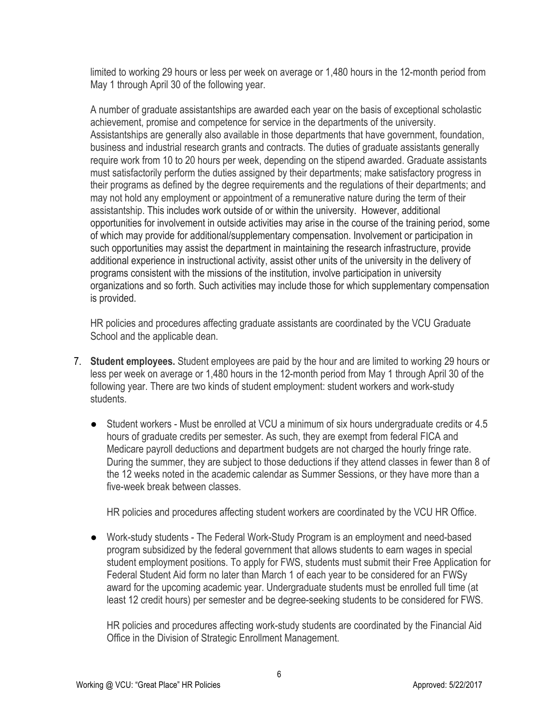limited to working 29 hours or less per week on average or 1,480 hours in the 12-month period from May 1 through April 30 of the following year.

A number of graduate assistantships are awarded each year on the basis of exceptional scholastic achievement, promise and competence for service in the departments of the university. Assistantships are generally also available in those departments that have government, foundation, business and industrial research grants and contracts. The duties of graduate assistants generally require work from 10 to 20 hours per week, depending on the stipend awarded. Graduate assistants must satisfactorily perform the duties assigned by their departments; make satisfactory progress in their programs as defined by the degree requirements and the regulations of their departments; and may not hold any employment or appointment of a remunerative nature during the term of their assistantship. This includes work outside of or within the university. However, additional opportunities for involvement in outside activities may arise in the course of the training period, some of which may provide for additional/supplementary compensation. Involvement or participation in such opportunities may assist the department in maintaining the research infrastructure, provide additional experience in instructional activity, assist other units of the university in the delivery of programs consistent with the missions of the institution, involve participation in university organizations and so forth. Such activities may include those for which supplementary compensation is provided.

HR policies and procedures affecting graduate assistants are coordinated by the VCU Graduate School and the applicable dean.

- 7. **Student employees.** Student employees are paid by the hour and are limited to working 29 hours or less per week on average or 1,480 hours in the 12-month period from May 1 through April 30 of the following year. There are two kinds of student employment: student workers and work-study students.
	- Student workers Must be enrolled at VCU a minimum of six hours undergraduate credits or 4.5 hours of graduate credits per semester. As such, they are exempt from federal FICA and Medicare payroll deductions and department budgets are not charged the hourly fringe rate. During the summer, they are subject to those deductions if they attend classes in fewer than 8 of the 12 weeks noted in the academic calendar as Summer Sessions, or they have more than a five-week break between classes.

HR policies and procedures affecting student workers are coordinated by the VCU HR Office.

Work-study students - The Federal Work-Study Program is an employment and need-based program subsidized by the federal government that allows students to earn wages in special student employment positions. To apply for FWS, students must submit their Free Application for Federal Student Aid form no later than March 1 of each year to be considered for an FWSy award for the upcoming academic year. Undergraduate students must be enrolled full time (at least 12 credit hours) per semester and be degree-seeking students to be considered for FWS.

HR policies and procedures affecting work-study students are coordinated by the Financial Aid Office in the Division of Strategic Enrollment Management.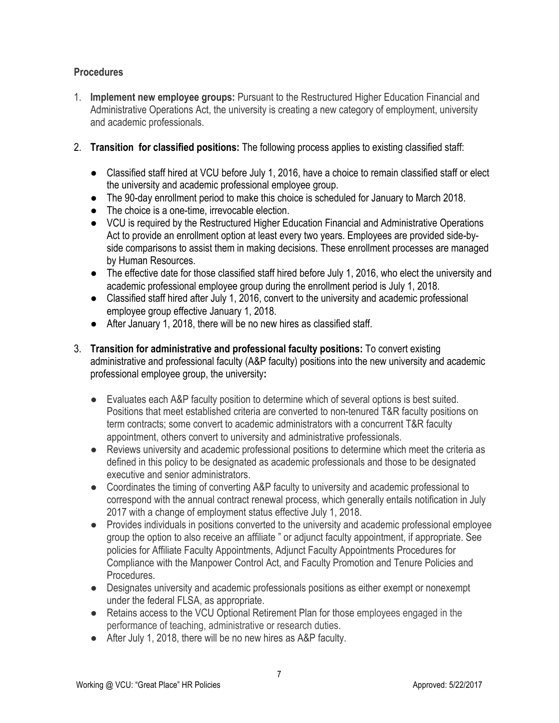# **Procedures**

- 1. **Implement new employee groups:** Pursuant to the Restructured Higher Education Financial and Administrative Operations Act, the university is creating a new category of employment, university and academic professionals.
- 2. **Transition for classified positions:** The following process applies to existing classified staff:
	- Classified staff hired at VCU before July 1, 2016, have a choice to remain classified staff or elect the university and academic professional employee group.
	- The 90-day enrollment period to make this choice is scheduled for January to March 2018.
	- The choice is a one-time, irrevocable election.
	- VCU is required by the Restructured Higher Education Financial and Administrative Operations Act to provide an enrollment option at least every two years. Employees are provided side-byside comparisons to assist them in making decisions. These enrollment processes are managed by Human Resources.
	- The effective date for those classified staff hired before July 1, 2016, who elect the university and academic professional employee group during the enrollment period is July 1, 2018.
	- Classified staff hired after July 1, 2016, convert to the university and academic professional employee group effective January 1, 2018.
	- After January 1, 2018, there will be no new hires as classified staff.
- 3. **Transition for administrative and professional faculty positions:** To convert existing administrative and professional faculty (A&P faculty) positions into the new university and academic professional employee group, the university**:**
	- Evaluates each A&P faculty position to determine which of several options is best suited. Positions that meet established criteria are converted to non-tenured T&R faculty positions on term contracts; some convert to academic administrators with a concurrent T&R faculty appointment, others convert to university and administrative professionals.
	- Reviews university and academic professional positions to determine which meet the criteria as defined in this policy to be designated as academic professionals and those to be designated executive and senior administrators.
	- Coordinates the timing of converting A&P faculty to university and academic professional to correspond with the annual contract renewal process, which generally entails notification in July 2017 with a change of employment status effective July 1, 2018.
	- Provides individuals in positions converted to the university and academic professional employee group the option to also receive an affiliate " or adjunct faculty appointment, if appropriate. See policies for Affiliate Faculty Appointments, Adjunct Faculty Appointments Procedures for Compliance with the Manpower Control Act, and Faculty Promotion and Tenure Policies and Procedures.
	- Designates university and academic professionals positions as either exempt or nonexempt under the federal FLSA, as appropriate.
	- Retains access to the VCU Optional Retirement Plan for those employees engaged in the performance of teaching, administrative or research duties.
	- After July 1, 2018, there will be no new hires as A&P faculty.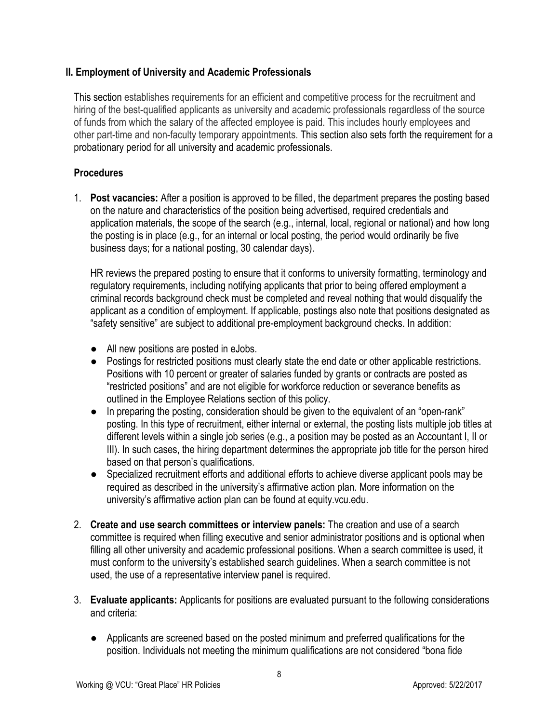# **II. Employment of University and Academic Professionals**

This section establishes requirements for an efficient and competitive process for the recruitment and hiring of the best-qualified applicants as university and academic professionals regardless of the source of funds from which the salary of the affected employee is paid. This includes hourly employees and other part-time and non-faculty temporary appointments. This section also sets forth the requirement for a probationary period for all university and academic professionals.

# **Procedures**

1. **Post vacancies:** After a position is approved to be filled, the department prepares the posting based on the nature and characteristics of the position being advertised, required credentials and application materials, the scope of the search (e.g., internal, local, regional or national) and how long the posting is in place (e.g., for an internal or local posting, the period would ordinarily be five business days; for a national posting, 30 calendar days).

HR reviews the prepared posting to ensure that it conforms to university formatting, terminology and regulatory requirements, including notifying applicants that prior to being offered employment a criminal records background check must be completed and reveal nothing that would disqualify the applicant as a condition of employment. If applicable, postings also note that positions designated as "safety sensitive" are subject to additional pre-employment background checks. In addition:

- All new positions are posted in eJobs.
- Postings for restricted positions must clearly state the end date or other applicable restrictions. Positions with 10 percent or greater of salaries funded by grants or contracts are posted as "restricted positions" and are not eligible for workforce reduction or severance benefits as outlined in the Employee Relations section of this policy.
- In preparing the posting, consideration should be given to the equivalent of an "open-rank" posting. In this type of recruitment, either internal or external, the posting lists multiple job titles at different levels within a single job series (e.g., a position may be posted as an Accountant I, II or III). In such cases, the hiring department determines the appropriate job title for the person hired based on that person's qualifications.
- Specialized recruitment efforts and additional efforts to achieve diverse applicant pools may be required as described in the university's affirmative action plan. More information on the university's affirmative action plan can be found at equity.vcu.edu.
- 2. **Create and use search committees or interview panels:** The creation and use of a search committee is required when filling executive and senior administrator positions and is optional when filling all other university and academic professional positions. When a search committee is used, it must conform to the university's established search guidelines. When a search committee is not used, the use of a representative interview panel is required.
- 3. **Evaluate applicants:** Applicants for positions are evaluated pursuant to the following considerations and criteria:
	- Applicants are screened based on the posted minimum and preferred qualifications for the position. Individuals not meeting the minimum qualifications are not considered "bona fide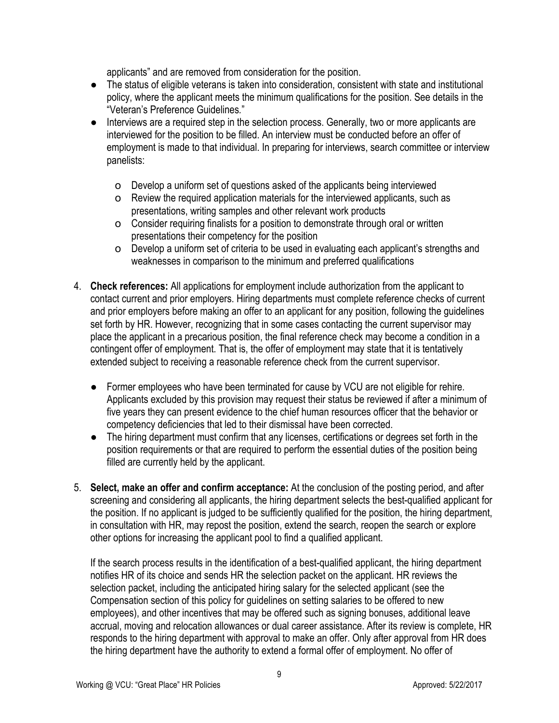applicants" and are removed from consideration for the position.

- The status of eligible veterans is taken into consideration, consistent with state and institutional policy, where the applicant meets the minimum qualifications for the position. See details in the "Veteran's Preference Guidelines*.*"
- Interviews are a required step in the selection process. Generally, two or more applicants are interviewed for the position to be filled. An interview must be conducted before an offer of employment is made to that individual. In preparing for interviews, search committee or interview panelists:
	- o Develop a uniform set of questions asked of the applicants being interviewed
	- o Review the required application materials for the interviewed applicants, such as presentations, writing samples and other relevant work products
	- o Consider requiring finalists for a position to demonstrate through oral or written presentations their competency for the position
	- o Develop a uniform set of criteria to be used in evaluating each applicant's strengths and weaknesses in comparison to the minimum and preferred qualifications
- 4. **Check references:** All applications for employment include authorization from the applicant to contact current and prior employers. Hiring departments must complete reference checks of current and prior employers before making an offer to an applicant for any position, following the guidelines set forth by HR. However, recognizing that in some cases contacting the current supervisor may place the applicant in a precarious position, the final reference check may become a condition in a contingent offer of employment. That is, the offer of employment may state that it is tentatively extended subject to receiving a reasonable reference check from the current supervisor.
	- Former employees who have been terminated for cause by VCU are not eligible for rehire. Applicants excluded by this provision may request their status be reviewed if after a minimum of five years they can present evidence to the chief human resources officer that the behavior or competency deficiencies that led to their dismissal have been corrected.
	- The hiring department must confirm that any licenses, certifications or degrees set forth in the position requirements or that are required to perform the essential duties of the position being filled are currently held by the applicant.
- 5. **Select, make an offer and confirm acceptance:** At the conclusion of the posting period, and after screening and considering all applicants, the hiring department selects the best-qualified applicant for the position. If no applicant is judged to be sufficiently qualified for the position, the hiring department, in consultation with HR, may repost the position, extend the search, reopen the search or explore other options for increasing the applicant pool to find a qualified applicant.

If the search process results in the identification of a best-qualified applicant, the hiring department notifies HR of its choice and sends HR the selection packet on the applicant. HR reviews the selection packet, including the anticipated hiring salary for the selected applicant (see the Compensation section of this policy for guidelines on setting salaries to be offered to new employees), and other incentives that may be offered such as signing bonuses, additional leave accrual, moving and relocation allowances or dual career assistance. After its review is complete, HR responds to the hiring department with approval to make an offer. Only after approval from HR does the hiring department have the authority to extend a formal offer of employment. No offer of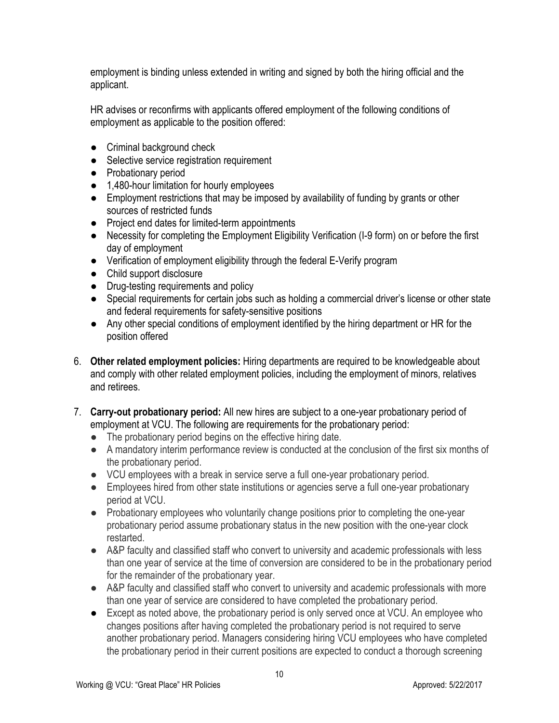employment is binding unless extended in writing and signed by both the hiring official and the applicant.

HR advises or reconfirms with applicants offered employment of the following conditions of employment as applicable to the position offered:

- Criminal background check
- Selective service registration requirement
- Probationary period
- 1,480-hour limitation for hourly employees
- Employment restrictions that may be imposed by availability of funding by grants or other sources of restricted funds
- Project end dates for limited-term appointments
- Necessity for completing the Employment Eligibility Verification (I-9 form) on or before the first day of employment
- Verification of employment eligibility through the federal E-Verify program
- Child support disclosure
- Drug-testing requirements and policy
- Special requirements for certain jobs such as holding a commercial driver's license or other state and federal requirements for safety-sensitive positions
- Any other special conditions of employment identified by the hiring department or HR for the position offered
- 6. **Other related employment policies:** Hiring departments are required to be knowledgeable about and comply with other related employment policies, including the employment of minors, relatives and retirees.
- 7. **Carry-out probationary period:** All new hires are subject to a one-year probationary period of employment at VCU. The following are requirements for the probationary period:
	- The probationary period begins on the effective hiring date.
	- A mandatory interim performance review is conducted at the conclusion of the first six months of the probationary period.
	- VCU employees with a break in service serve a full one-year probationary period.
	- Employees hired from other state institutions or agencies serve a full one-year probationary period at VCU.
	- Probationary employees who voluntarily change positions prior to completing the one-year probationary period assume probationary status in the new position with the one-year clock restarted.
	- A&P faculty and classified staff who convert to university and academic professionals with less than one year of service at the time of conversion are considered to be in the probationary period for the remainder of the probationary year.
	- A&P faculty and classified staff who convert to university and academic professionals with more than one year of service are considered to have completed the probationary period.
	- Except as noted above, the probationary period is only served once at VCU. An employee who changes positions after having completed the probationary period is not required to serve another probationary period. Managers considering hiring VCU employees who have completed the probationary period in their current positions are expected to conduct a thorough screening

10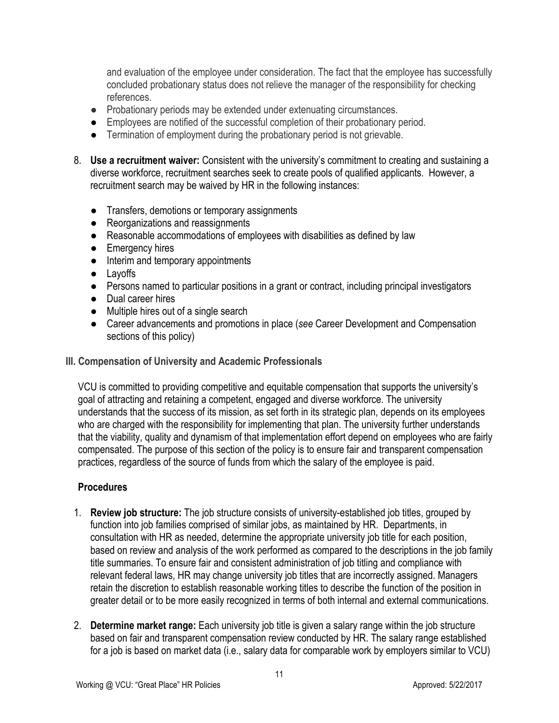and evaluation of the employee under consideration. The fact that the employee has successfully concluded probationary status does not relieve the manager of the responsibility for checking references.

- Probationary periods may be extended under extenuating circumstances.
- Employees are notified of the successful completion of their probationary period.
- Termination of employment during the probationary period is not grievable.
- 8. **Use a recruitment waiver:** Consistent with the university's commitment to creating and sustaining a diverse workforce, recruitment searches seek to create pools of qualified applicants. However, a recruitment search may be waived by HR in the following instances:
	- Transfers, demotions or temporary assignments
	- Reorganizations and reassignments
	- Reasonable accommodations of employees with disabilities as defined by law
	- Emergency hires
	- Interim and temporary appointments
	- Layoffs
	- Persons named to particular positions in a grant or contract, including principal investigators
	- Dual career hires
	- Multiple hires out of a single search
	- Career advancements and promotions in place (*see* Career Development and Compensation sections of this policy)

# **III. Compensation of University and Academic Professionals**

VCU is committed to providing competitive and equitable compensation that supports the university's goal of attracting and retaining a competent, engaged and diverse workforce. The university understands that the success of its mission, as set forth in its strategic plan, depends on its employees who are charged with the responsibility for implementing that plan. The university further understands that the viability, quality and dynamism of that implementation effort depend on employees who are fairly compensated. The purpose of this section of the policy is to ensure fair and transparent compensation practices, regardless of the source of funds from which the salary of the employee is paid.

# **Procedures**

- 1. **Review job structure:** The job structure consists of university-established job titles, grouped by function into job families comprised of similar jobs, as maintained by HR. Departments, in consultation with HR as needed, determine the appropriate university job title for each position, based on review and analysis of the work performed as compared to the descriptions in the job family title summaries. To ensure fair and consistent administration of job titling and compliance with relevant federal laws, HR may change university job titles that are incorrectly assigned. Managers retain the discretion to establish reasonable working titles to describe the function of the position in greater detail or to be more easily recognized in terms of both internal and external communications.
- 2. **Determine market range:** Each university job title is given a salary range within the job structure based on fair and transparent compensation review conducted by HR. The salary range established for a job is based on market data (i.e., salary data for comparable work by employers similar to VCU)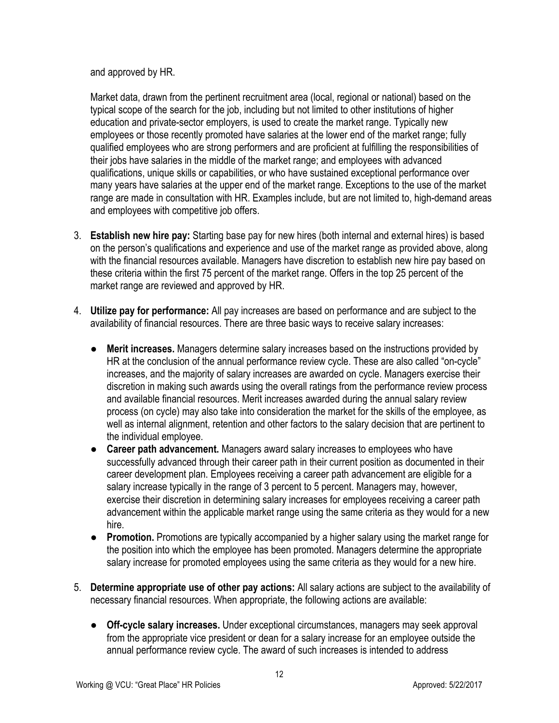and approved by HR.

Market data, drawn from the pertinent recruitment area (local, regional or national) based on the typical scope of the search for the job, including but not limited to other institutions of higher education and private-sector employers, is used to create the market range. Typically new employees or those recently promoted have salaries at the lower end of the market range; fully qualified employees who are strong performers and are proficient at fulfilling the responsibilities of their jobs have salaries in the middle of the market range; and employees with advanced qualifications, unique skills or capabilities, or who have sustained exceptional performance over many years have salaries at the upper end of the market range. Exceptions to the use of the market range are made in consultation with HR. Examples include, but are not limited to, high-demand areas and employees with competitive job offers.

- 3. **Establish new hire pay:** Starting base pay for new hires (both internal and external hires) is based on the person's qualifications and experience and use of the market range as provided above, along with the financial resources available. Managers have discretion to establish new hire pay based on these criteria within the first 75 percent of the market range. Offers in the top 25 percent of the market range are reviewed and approved by HR.
- 4. **Utilize pay for performance:** All pay increases are based on performance and are subject to the availability of financial resources. There are three basic ways to receive salary increases:
	- **● Merit increases.** Managers determine salary increases based on the instructions provided by HR at the conclusion of the annual performance review cycle. These are also called "on-cycle" increases, and the majority of salary increases are awarded on cycle. Managers exercise their discretion in making such awards using the overall ratings from the performance review process and available financial resources. Merit increases awarded during the annual salary review process (on cycle) may also take into consideration the market for the skills of the employee, as well as internal alignment, retention and other factors to the salary decision that are pertinent to the individual employee.
	- **● Career path advancement.** Managers award salary increases to employees who have successfully advanced through their career path in their current position as documented in their career development plan. Employees receiving a career path advancement are eligible for a salary increase typically in the range of 3 percent to 5 percent. Managers may, however, exercise their discretion in determining salary increases for employees receiving a career path advancement within the applicable market range using the same criteria as they would for a new hire.
	- **● Promotion.** Promotions are typically accompanied by a higher salary using the market range for the position into which the employee has been promoted. Managers determine the appropriate salary increase for promoted employees using the same criteria as they would for a new hire.
- 5. **Determine appropriate use of other pay actions:** All salary actions are subject to the availability of necessary financial resources. When appropriate, the following actions are available:
	- **Off-cycle salary increases.** Under exceptional circumstances, managers may seek approval from the appropriate vice president or dean for a salary increase for an employee outside the annual performance review cycle. The award of such increases is intended to address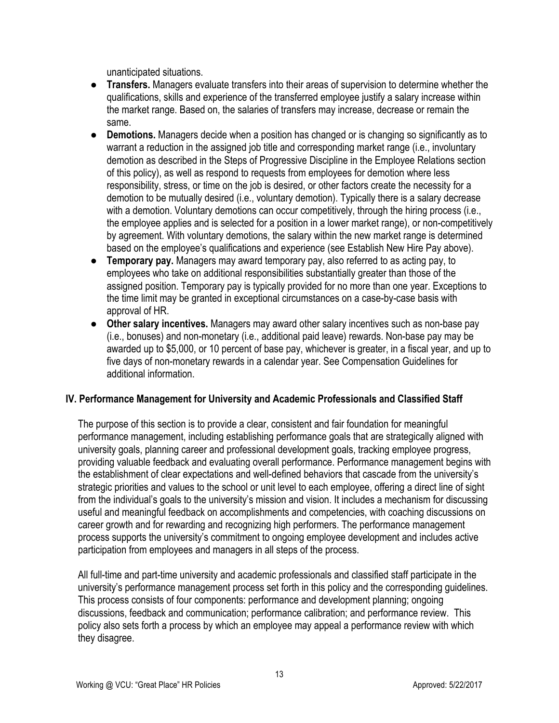unanticipated situations.

- **Transfers.** Managers evaluate transfers into their areas of supervision to determine whether the qualifications, skills and experience of the transferred employee justify a salary increase within the market range. Based on, the salaries of transfers may increase, decrease or remain the same.
- **Demotions.** Managers decide when a position has changed or is changing so significantly as to warrant a reduction in the assigned job title and corresponding market range (i.e., involuntary demotion as described in the Steps of Progressive Discipline in the Employee Relations section of this policy), as well as respond to requests from employees for demotion where less responsibility, stress, or time on the job is desired, or other factors create the necessity for a demotion to be mutually desired (i.e., voluntary demotion). Typically there is a salary decrease with a demotion. Voluntary demotions can occur competitively, through the hiring process (i.e., the employee applies and is selected for a position in a lower market range), or non-competitively by agreement. With voluntary demotions, the salary within the new market range is determined based on the employee's qualifications and experience (see Establish New Hire Pay above).
- **Temporary pay.** Managers may award temporary pay, also referred to as acting pay, to employees who take on additional responsibilities substantially greater than those of the assigned position. Temporary pay is typically provided for no more than one year. Exceptions to the time limit may be granted in exceptional circumstances on a case-by-case basis with approval of HR.
- **Other salary incentives.** Managers may award other salary incentives such as non-base pay (i.e., bonuses) and non-monetary (i.e., additional paid leave) rewards. Non-base pay may be awarded up to \$5,000, or 10 percent of base pay, whichever is greater, in a fiscal year, and up to five days of non-monetary rewards in a calendar year. See Compensation Guidelines for additional information.

# **IV. Performance Management for University and Academic Professionals and Classified Staff**

The purpose of this section is to provide a clear, consistent and fair foundation for meaningful performance management, including establishing performance goals that are strategically aligned with university goals, planning career and professional development goals, tracking employee progress, providing valuable feedback and evaluating overall performance. Performance management begins with the establishment of clear expectations and well-defined behaviors that cascade from the university's strategic priorities and values to the school or unit level to each employee, offering a direct line of sight from the individual's goals to the university's mission and vision. It includes a mechanism for discussing useful and meaningful feedback on accomplishments and competencies, with coaching discussions on career growth and for rewarding and recognizing high performers. The performance management process supports the university's commitment to ongoing employee development and includes active participation from employees and managers in all steps of the process.

All full-time and part-time university and academic professionals and classified staff participate in the university's performance management process set forth in this policy and the corresponding guidelines. This process consists of four components: performance and development planning; ongoing discussions, feedback and communication; performance calibration; and performance review. This policy also sets forth a process by which an employee may appeal a performance review with which they disagree.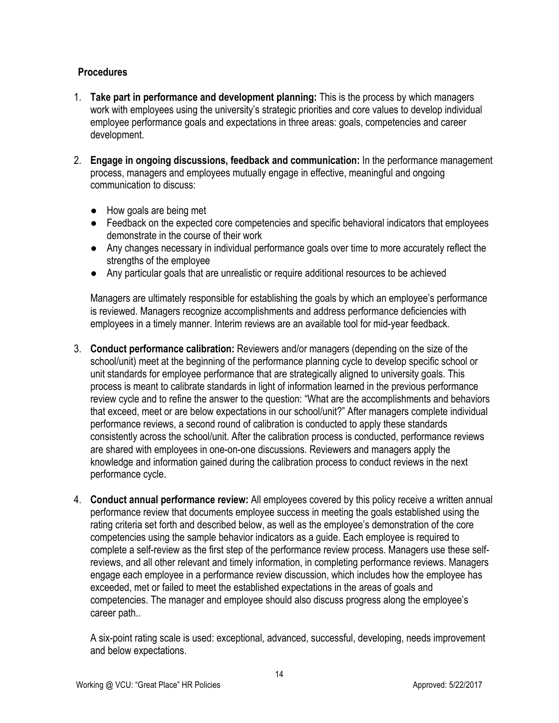# **Procedures**

- 1. **Take part in performance and development planning:** This is the process by which managers work with employees using the university's strategic priorities and core values to develop individual employee performance goals and expectations in three areas: goals, competencies and career development.
- 2. **Engage in ongoing discussions, feedback and communication:** In the performance management process, managers and employees mutually engage in effective, meaningful and ongoing communication to discuss:
	- How goals are being met
	- Feedback on the expected core competencies and specific behavioral indicators that employees demonstrate in the course of their work
	- Any changes necessary in individual performance goals over time to more accurately reflect the strengths of the employee
	- Any particular goals that are unrealistic or require additional resources to be achieved

Managers are ultimately responsible for establishing the goals by which an employee's performance is reviewed. Managers recognize accomplishments and address performance deficiencies with employees in a timely manner. Interim reviews are an available tool for mid-year feedback.

- 3. **Conduct performance calibration:** Reviewers and/or managers (depending on the size of the school/unit) meet at the beginning of the performance planning cycle to develop specific school or unit standards for employee performance that are strategically aligned to university goals. This process is meant to calibrate standards in light of information learned in the previous performance review cycle and to refine the answer to the question: "What are the accomplishments and behaviors that exceed, meet or are below expectations in our school/unit?" After managers complete individual performance reviews, a second round of calibration is conducted to apply these standards consistently across the school/unit. After the calibration process is conducted, performance reviews are shared with employees in one-on-one discussions. Reviewers and managers apply the knowledge and information gained during the calibration process to conduct reviews in the next performance cycle.
- 4. **Conduct annual performance review:** All employees covered by this policy receive a written annual performance review that documents employee success in meeting the goals established using the rating criteria set forth and described below, as well as the employee's demonstration of the core competencies using the sample behavior indicators as a guide. Each employee is required to complete a self-review as the first step of the performance review process. Managers use these selfreviews, and all other relevant and timely information, in completing performance reviews. Managers engage each employee in a performance review discussion, which includes how the employee has exceeded, met or failed to meet the established expectations in the areas of goals and competencies. The manager and employee should also discuss progress along the employee's career path..

A six-point rating scale is used: exceptional, advanced, successful, developing, needs improvement and below expectations.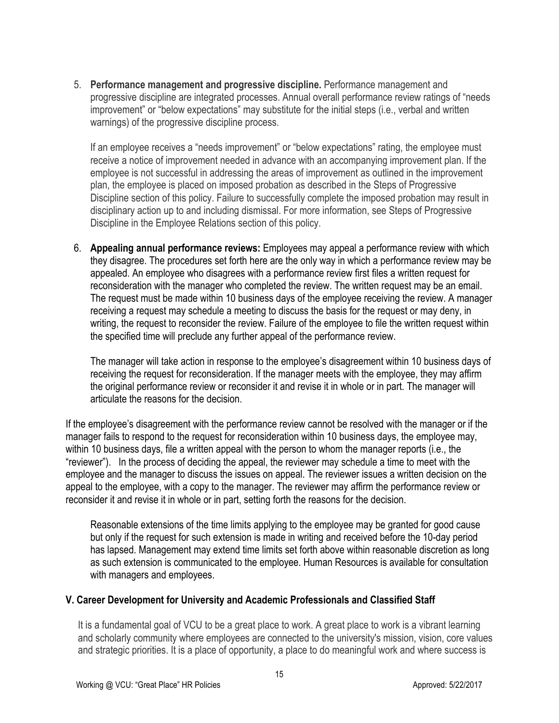5. **Performance management and progressive discipline.** Performance management and progressive discipline are integrated processes. Annual overall performance review ratings of "needs improvement" or "below expectations" may substitute for the initial steps (i.e., verbal and written warnings) of the progressive discipline process.

If an employee receives a "needs improvement" or "below expectations" rating, the employee must receive a notice of improvement needed in advance with an accompanying improvement plan. If the employee is not successful in addressing the areas of improvement as outlined in the improvement plan, the employee is placed on imposed probation as described in the Steps of Progressive Discipline section of this policy. Failure to successfully complete the imposed probation may result in disciplinary action up to and including dismissal. For more information, see Steps of Progressive Discipline in the Employee Relations section of this policy.

6. **Appealing annual performance reviews:** Employees may appeal a performance review with which they disagree. The procedures set forth here are the only way in which a performance review may be appealed. An employee who disagrees with a performance review first files a written request for reconsideration with the manager who completed the review. The written request may be an email. The request must be made within 10 business days of the employee receiving the review. A manager receiving a request may schedule a meeting to discuss the basis for the request or may deny, in writing, the request to reconsider the review. Failure of the employee to file the written request within the specified time will preclude any further appeal of the performance review.

The manager will take action in response to the employee's disagreement within 10 business days of receiving the request for reconsideration. If the manager meets with the employee, they may affirm the original performance review or reconsider it and revise it in whole or in part. The manager will articulate the reasons for the decision.

If the employee's disagreement with the performance review cannot be resolved with the manager or if the manager fails to respond to the request for reconsideration within 10 business days, the employee may, within 10 business days, file a written appeal with the person to whom the manager reports (i.e., the "reviewer"). In the process of deciding the appeal, the reviewer may schedule a time to meet with the employee and the manager to discuss the issues on appeal. The reviewer issues a written decision on the appeal to the employee, with a copy to the manager. The reviewer may affirm the performance review or reconsider it and revise it in whole or in part, setting forth the reasons for the decision.

Reasonable extensions of the time limits applying to the employee may be granted for good cause but only if the request for such extension is made in writing and received before the 10-day period has lapsed. Management may extend time limits set forth above within reasonable discretion as long as such extension is communicated to the employee. Human Resources is available for consultation with managers and employees.

# **V. Career Development for University and Academic Professionals and Classified Staff**

It is a fundamental goal of VCU to be a great place to work. A great place to work is a vibrant learning and scholarly community where employees are connected to the university's mission, vision, core values and strategic priorities. It is a place of opportunity, a place to do meaningful work and where success is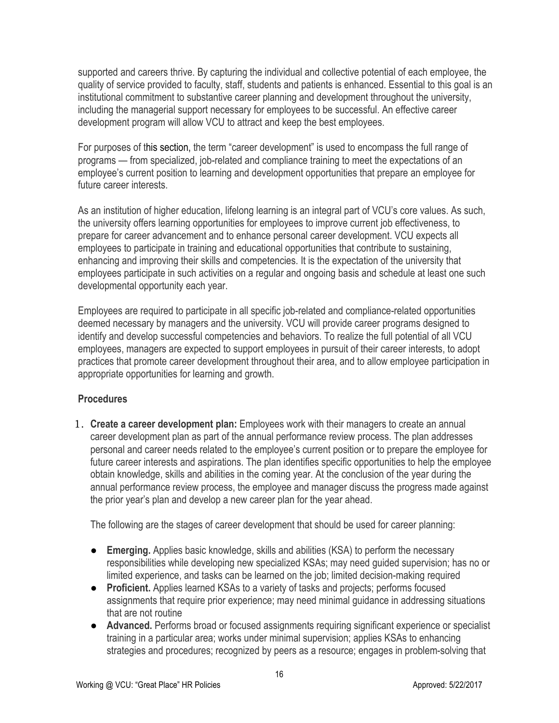supported and careers thrive. By capturing the individual and collective potential of each employee, the quality of service provided to faculty, staff, students and patients is enhanced. Essential to this goal is an institutional commitment to substantive career planning and development throughout the university, including the managerial support necessary for employees to be successful. An effective career development program will allow VCU to attract and keep the best employees.

For purposes of this section, the term "career development" is used to encompass the full range of programs — from specialized, job-related and compliance training to meet the expectations of an employee's current position to learning and development opportunities that prepare an employee for future career interests.

As an institution of higher education, lifelong learning is an integral part of VCU's core values. As such, the university offers learning opportunities for employees to improve current job effectiveness, to prepare for career advancement and to enhance personal career development. VCU expects all employees to participate in training and educational opportunities that contribute to sustaining, enhancing and improving their skills and competencies. It is the expectation of the university that employees participate in such activities on a regular and ongoing basis and schedule at least one such developmental opportunity each year.

Employees are required to participate in all specific job-related and compliance-related opportunities deemed necessary by managers and the university. VCU will provide career programs designed to identify and develop successful competencies and behaviors. To realize the full potential of all VCU employees, managers are expected to support employees in pursuit of their career interests, to adopt practices that promote career development throughout their area, and to allow employee participation in appropriate opportunities for learning and growth.

# **Procedures**

1. **Create a career development plan:** Employees work with their managers to create an annual career development plan as part of the annual performance review process. The plan addresses personal and career needs related to the employee's current position or to prepare the employee for future career interests and aspirations. The plan identifies specific opportunities to help the employee obtain knowledge, skills and abilities in the coming year. At the conclusion of the year during the annual performance review process, the employee and manager discuss the progress made against the prior year's plan and develop a new career plan for the year ahead.

The following are the stages of career development that should be used for career planning:

- **Emerging.** Applies basic knowledge, skills and abilities (KSA) to perform the necessary responsibilities while developing new specialized KSAs; may need guided supervision; has no or limited experience, and tasks can be learned on the job; limited decision-making required
- **Proficient.** Applies learned KSAs to a variety of tasks and projects; performs focused assignments that require prior experience; may need minimal guidance in addressing situations that are not routine
- **Advanced.** Performs broad or focused assignments requiring significant experience or specialist training in a particular area; works under minimal supervision; applies KSAs to enhancing strategies and procedures; recognized by peers as a resource; engages in problem-solving that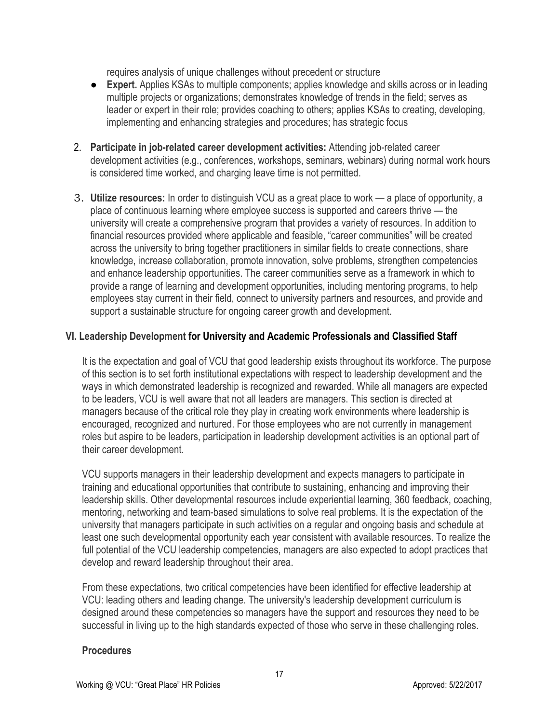requires analysis of unique challenges without precedent or structure

- **Expert.** Applies KSAs to multiple components; applies knowledge and skills across or in leading multiple projects or organizations; demonstrates knowledge of trends in the field; serves as leader or expert in their role; provides coaching to others; applies KSAs to creating, developing, implementing and enhancing strategies and procedures; has strategic focus
- 2. **Participate in job-related career development activities:** Attending job-related career development activities (e.g., conferences, workshops, seminars, webinars) during normal work hours is considered time worked, and charging leave time is not permitted.
- 3. **Utilize resources:** In order to distinguish VCU as a great place to work a place of opportunity, a place of continuous learning where employee success is supported and careers thrive — the university will create a comprehensive program that provides a variety of resources. In addition to financial resources provided where applicable and feasible, "career communities" will be created across the university to bring together practitioners in similar fields to create connections, share knowledge, increase collaboration, promote innovation, solve problems, strengthen competencies and enhance leadership opportunities. The career communities serve as a framework in which to provide a range of learning and development opportunities, including mentoring programs, to help employees stay current in their field, connect to university partners and resources, and provide and support a sustainable structure for ongoing career growth and development.

# **VI. Leadership Development for University and Academic Professionals and Classified Staff**

It is the expectation and goal of VCU that good leadership exists throughout its workforce. The purpose of this section is to set forth institutional expectations with respect to leadership development and the ways in which demonstrated leadership is recognized and rewarded. While all managers are expected to be leaders, VCU is well aware that not all leaders are managers. This section is directed at managers because of the critical role they play in creating work environments where leadership is encouraged, recognized and nurtured. For those employees who are not currently in management roles but aspire to be leaders, participation in leadership development activities is an optional part of their career development.

VCU supports managers in their leadership development and expects managers to participate in training and educational opportunities that contribute to sustaining, enhancing and improving their leadership skills. Other developmental resources include experiential learning, 360 feedback, coaching, mentoring, networking and team-based simulations to solve real problems. It is the expectation of the university that managers participate in such activities on a regular and ongoing basis and schedule at least one such developmental opportunity each year consistent with available resources. To realize the full potential of the VCU leadership competencies, managers are also expected to adopt practices that develop and reward leadership throughout their area.

From these expectations, two critical competencies have been identified for effective leadership at VCU: leading others and leading change. The university's leadership development curriculum is designed around these competencies so managers have the support and resources they need to be successful in living up to the high standards expected of those who serve in these challenging roles.

#### **Procedures**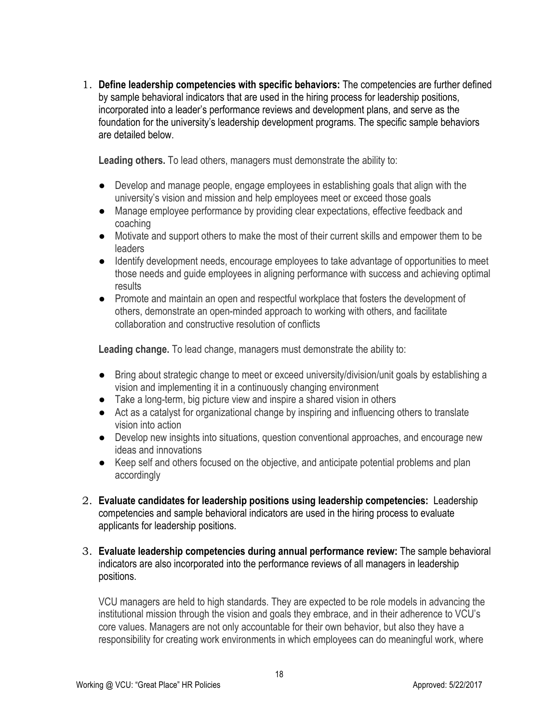1. **Define leadership competencies with specific behaviors:** The competencies are further defined by sample behavioral indicators that are used in the hiring process for leadership positions, incorporated into a leader's performance reviews and development plans, and serve as the foundation for the university's leadership development programs. The specific sample behaviors are detailed below.

**Leading others.** To lead others, managers must demonstrate the ability to:

- Develop and manage people, engage employees in establishing goals that align with the university's vision and mission and help employees meet or exceed those goals
- Manage employee performance by providing clear expectations, effective feedback and coaching
- Motivate and support others to make the most of their current skills and empower them to be leaders
- Identify development needs, encourage employees to take advantage of opportunities to meet those needs and guide employees in aligning performance with success and achieving optimal results
- Promote and maintain an open and respectful workplace that fosters the development of others, demonstrate an open-minded approach to working with others, and facilitate collaboration and constructive resolution of conflicts

**Leading change.** To lead change, managers must demonstrate the ability to:

- Bring about strategic change to meet or exceed university/division/unit goals by establishing a vision and implementing it in a continuously changing environment
- Take a long-term, big picture view and inspire a shared vision in others
- Act as a catalyst for organizational change by inspiring and influencing others to translate vision into action
- Develop new insights into situations, question conventional approaches, and encourage new ideas and innovations
- Keep self and others focused on the objective, and anticipate potential problems and plan accordingly
- 2. **Evaluate candidates for leadership positions using leadership competencies:** Leadership competencies and sample behavioral indicators are used in the hiring process to evaluate applicants for leadership positions.
- 3. **Evaluate leadership competencies during annual performance review:** The sample behavioral indicators are also incorporated into the performance reviews of all managers in leadership positions.

VCU managers are held to high standards. They are expected to be role models in advancing the institutional mission through the vision and goals they embrace, and in their adherence to VCU's core values. Managers are not only accountable for their own behavior, but also they have a responsibility for creating work environments in which employees can do meaningful work, where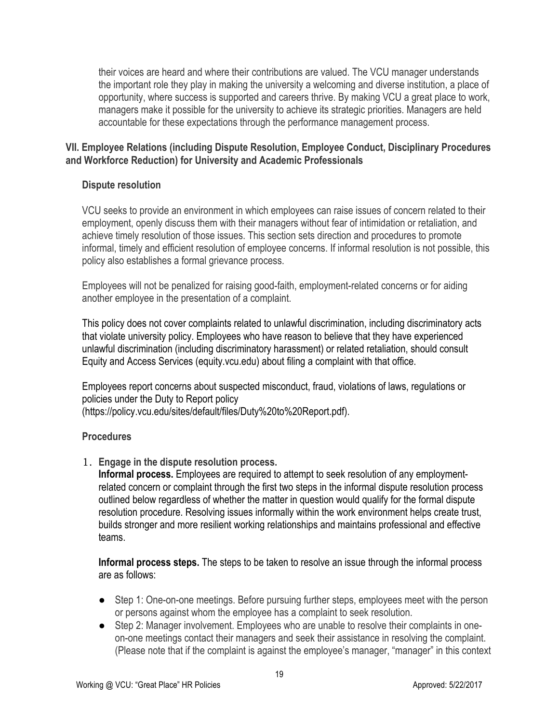their voices are heard and where their contributions are valued. The VCU manager understands the important role they play in making the university a welcoming and diverse institution, a place of opportunity, where success is supported and careers thrive. By making VCU a great place to work, managers make it possible for the university to achieve its strategic priorities. Managers are held accountable for these expectations through the performance management process.

# **VII. Employee Relations (including Dispute Resolution, Employee Conduct, Disciplinary Procedures and Workforce Reduction) for University and Academic Professionals**

#### **Dispute resolution**

VCU seeks to provide an environment in which employees can raise issues of concern related to their employment, openly discuss them with their managers without fear of intimidation or retaliation, and achieve timely resolution of those issues. This section sets direction and procedures to promote informal, timely and efficient resolution of employee concerns. If informal resolution is not possible, this policy also establishes a formal grievance process.

Employees will not be penalized for raising good-faith, employment-related concerns or for aiding another employee in the presentation of a complaint.

This policy does not cover complaints related to unlawful discrimination, including discriminatory acts that violate university policy. Employees who have reason to believe that they have experienced unlawful discrimination (including discriminatory harassment) or related retaliation, should consult Equity and Access Services (equity.vcu.edu) about filing a complaint with that office.

Employees report concerns about suspected misconduct, fraud, violations of laws, regulations or policies under the Duty to Report policy (https://policy.vcu.edu/sites/default/files/Duty%20to%20Report.pdf).

# **Procedures**

1. **Engage in the dispute resolution process.** 

**Informal process.** Employees are required to attempt to seek resolution of any employmentrelated concern or complaint through the first two steps in the informal dispute resolution process outlined below regardless of whether the matter in question would qualify for the formal dispute resolution procedure. Resolving issues informally within the work environment helps create trust, builds stronger and more resilient working relationships and maintains professional and effective teams.

**Informal process steps.** The steps to be taken to resolve an issue through the informal process are as follows:

- Step 1: One-on-one meetings. Before pursuing further steps, employees meet with the person or persons against whom the employee has a complaint to seek resolution.
- Step 2: Manager involvement. Employees who are unable to resolve their complaints in oneon-one meetings contact their managers and seek their assistance in resolving the complaint. (Please note that if the complaint is against the employee's manager, "manager" in this context

19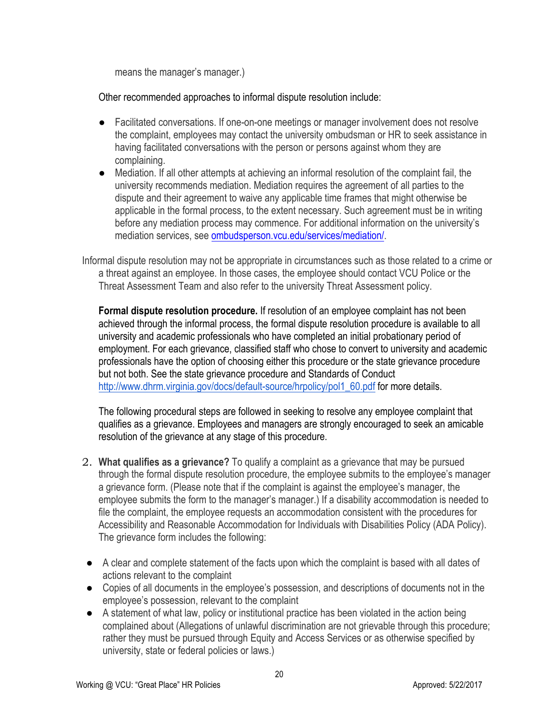means the manager's manager.)

Other recommended approaches to informal dispute resolution include:

- Facilitated conversations. If one-on-one meetings or manager involvement does not resolve the complaint, employees may contact the university ombudsman or HR to seek assistance in having facilitated conversations with the person or persons against whom they are complaining.
- Mediation. If all other attempts at achieving an informal resolution of the complaint fail, the university recommends mediation. Mediation requires the agreement of all parties to the dispute and their agreement to waive any applicable time frames that might otherwise be applicable in the formal process, to the extent necessary. Such agreement must be in writing before any mediation process may commence. For additional information on the university's mediation services, see ombudsperson.vcu.edu/services/mediation/.

Informal dispute resolution may not be appropriate in circumstances such as those related to a crime or a threat against an employee. In those cases, the employee should contact VCU Police or the Threat Assessment Team and also refer to the university Threat Assessment policy.

**Formal dispute resolution procedure.** If resolution of an employee complaint has not been achieved through the informal process, the formal dispute resolution procedure is available to all university and academic professionals who have completed an initial probationary period of employment. For each grievance, classified staff who chose to convert to university and academic professionals have the option of choosing either this procedure or the state grievance procedure but not both. See the state grievance procedure and Standards of Conduct http://www.dhrm.virginia.gov/docs/default-source/hrpolicy/pol1\_60.pdf for more details.

The following procedural steps are followed in seeking to resolve any employee complaint that qualifies as a grievance. Employees and managers are strongly encouraged to seek an amicable resolution of the grievance at any stage of this procedure.

- 2. **What qualifies as a grievance?** To qualify a complaint as a grievance that may be pursued through the formal dispute resolution procedure, the employee submits to the employee's manager a grievance form. (Please note that if the complaint is against the employee's manager, the employee submits the form to the manager's manager.) If a disability accommodation is needed to file the complaint, the employee requests an accommodation consistent with the procedures for Accessibility and Reasonable Accommodation for Individuals with Disabilities Policy (ADA Policy). The grievance form includes the following:
- A clear and complete statement of the facts upon which the complaint is based with all dates of actions relevant to the complaint
- Copies of all documents in the employee's possession, and descriptions of documents not in the employee's possession, relevant to the complaint
- A statement of what law, policy or institutional practice has been violated in the action being complained about (Allegations of unlawful discrimination are not grievable through this procedure; rather they must be pursued through Equity and Access Services or as otherwise specified by university, state or federal policies or laws.)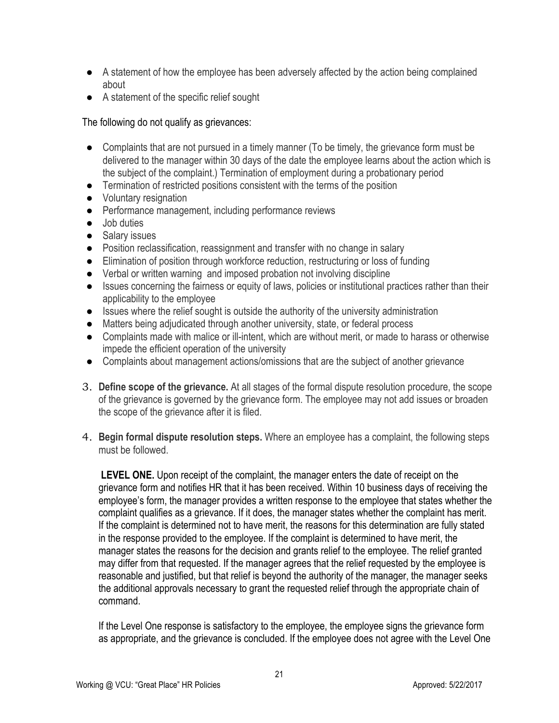- A statement of how the employee has been adversely affected by the action being complained about
- A statement of the specific relief sought

# The following do not qualify as grievances:

- Complaints that are not pursued in a timely manner (To be timely, the grievance form must be delivered to the manager within 30 days of the date the employee learns about the action which is the subject of the complaint.) Termination of employment during a probationary period
- Termination of restricted positions consistent with the terms of the position
- Voluntary resignation
- Performance management, including performance reviews
- Job duties
- Salary issues
- Position reclassification, reassignment and transfer with no change in salary
- Elimination of position through workforce reduction, restructuring or loss of funding
- Verbal or written warning and imposed probation not involving discipline
- Issues concerning the fairness or equity of laws, policies or institutional practices rather than their applicability to the employee
- Issues where the relief sought is outside the authority of the university administration
- Matters being adjudicated through another university, state, or federal process
- Complaints made with malice or ill-intent, which are without merit, or made to harass or otherwise impede the efficient operation of the university
- Complaints about management actions/omissions that are the subject of another grievance
- 3. **Define scope of the grievance.** At all stages of the formal dispute resolution procedure, the scope of the grievance is governed by the grievance form. The employee may not add issues or broaden the scope of the grievance after it is filed.
- 4. **Begin formal dispute resolution steps.** Where an employee has a complaint, the following steps must be followed.

**LEVEL ONE.** Upon receipt of the complaint, the manager enters the date of receipt on the grievance form and notifies HR that it has been received. Within 10 business days of receiving the employee's form, the manager provides a written response to the employee that states whether the complaint qualifies as a grievance. If it does, the manager states whether the complaint has merit. If the complaint is determined not to have merit, the reasons for this determination are fully stated in the response provided to the employee. If the complaint is determined to have merit, the manager states the reasons for the decision and grants relief to the employee. The relief granted may differ from that requested. If the manager agrees that the relief requested by the employee is reasonable and justified, but that relief is beyond the authority of the manager, the manager seeks the additional approvals necessary to grant the requested relief through the appropriate chain of command.

If the Level One response is satisfactory to the employee, the employee signs the grievance form as appropriate, and the grievance is concluded. If the employee does not agree with the Level One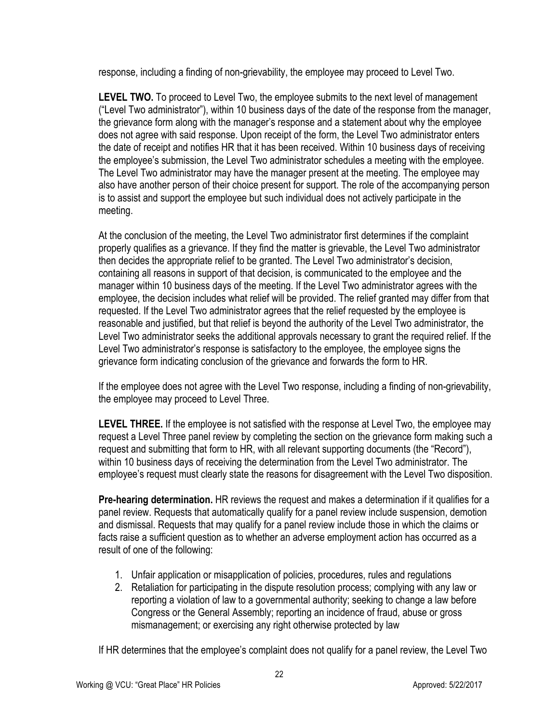response, including a finding of non-grievability, the employee may proceed to Level Two.

**LEVEL TWO.** To proceed to Level Two, the employee submits to the next level of management ("Level Two administrator"), within 10 business days of the date of the response from the manager, the grievance form along with the manager's response and a statement about why the employee does not agree with said response. Upon receipt of the form, the Level Two administrator enters the date of receipt and notifies HR that it has been received. Within 10 business days of receiving the employee's submission, the Level Two administrator schedules a meeting with the employee. The Level Two administrator may have the manager present at the meeting. The employee may also have another person of their choice present for support. The role of the accompanying person is to assist and support the employee but such individual does not actively participate in the meeting.

At the conclusion of the meeting, the Level Two administrator first determines if the complaint properly qualifies as a grievance. If they find the matter is grievable, the Level Two administrator then decides the appropriate relief to be granted. The Level Two administrator's decision, containing all reasons in support of that decision, is communicated to the employee and the manager within 10 business days of the meeting. If the Level Two administrator agrees with the employee, the decision includes what relief will be provided. The relief granted may differ from that requested. If the Level Two administrator agrees that the relief requested by the employee is reasonable and justified, but that relief is beyond the authority of the Level Two administrator, the Level Two administrator seeks the additional approvals necessary to grant the required relief. If the Level Two administrator's response is satisfactory to the employee, the employee signs the grievance form indicating conclusion of the grievance and forwards the form to HR.

If the employee does not agree with the Level Two response, including a finding of non-grievability, the employee may proceed to Level Three.

**LEVEL THREE.** If the employee is not satisfied with the response at Level Two, the employee may request a Level Three panel review by completing the section on the grievance form making such a request and submitting that form to HR, with all relevant supporting documents (the "Record"), within 10 business days of receiving the determination from the Level Two administrator. The employee's request must clearly state the reasons for disagreement with the Level Two disposition.

**Pre-hearing determination.** HR reviews the request and makes a determination if it qualifies for a panel review. Requests that automatically qualify for a panel review include suspension, demotion and dismissal. Requests that may qualify for a panel review include those in which the claims or facts raise a sufficient question as to whether an adverse employment action has occurred as a result of one of the following:

- 1. Unfair application or misapplication of policies, procedures, rules and regulations
- 2. Retaliation for participating in the dispute resolution process; complying with any law or reporting a violation of law to a governmental authority; seeking to change a law before Congress or the General Assembly; reporting an incidence of fraud, abuse or gross mismanagement; or exercising any right otherwise protected by law

If HR determines that the employee's complaint does not qualify for a panel review, the Level Two

22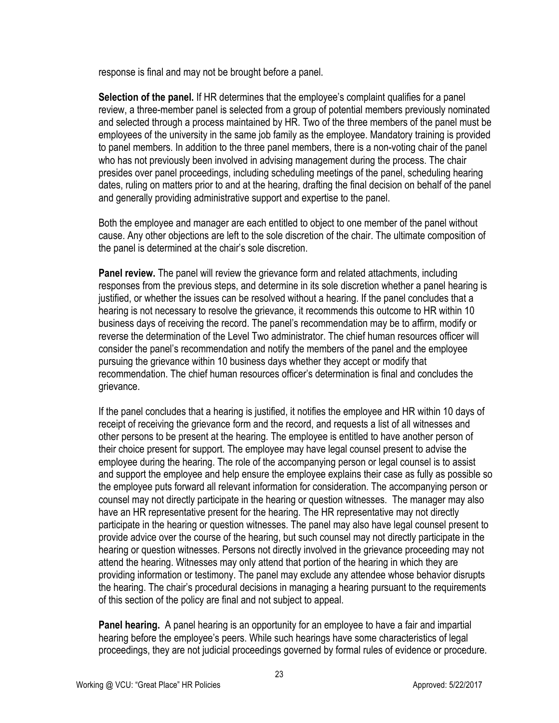response is final and may not be brought before a panel.

**Selection of the panel.** If HR determines that the employee's complaint qualifies for a panel review, a three-member panel is selected from a group of potential members previously nominated and selected through a process maintained by HR. Two of the three members of the panel must be employees of the university in the same job family as the employee. Mandatory training is provided to panel members. In addition to the three panel members, there is a non-voting chair of the panel who has not previously been involved in advising management during the process. The chair presides over panel proceedings, including scheduling meetings of the panel, scheduling hearing dates, ruling on matters prior to and at the hearing, drafting the final decision on behalf of the panel and generally providing administrative support and expertise to the panel.

Both the employee and manager are each entitled to object to one member of the panel without cause. Any other objections are left to the sole discretion of the chair. The ultimate composition of the panel is determined at the chair's sole discretion.

**Panel review.** The panel will review the grievance form and related attachments, including responses from the previous steps, and determine in its sole discretion whether a panel hearing is justified, or whether the issues can be resolved without a hearing. If the panel concludes that a hearing is not necessary to resolve the grievance, it recommends this outcome to HR within 10 business days of receiving the record. The panel's recommendation may be to affirm, modify or reverse the determination of the Level Two administrator. The chief human resources officer will consider the panel's recommendation and notify the members of the panel and the employee pursuing the grievance within 10 business days whether they accept or modify that recommendation. The chief human resources officer's determination is final and concludes the grievance.

If the panel concludes that a hearing is justified, it notifies the employee and HR within 10 days of receipt of receiving the grievance form and the record, and requests a list of all witnesses and other persons to be present at the hearing. The employee is entitled to have another person of their choice present for support. The employee may have legal counsel present to advise the employee during the hearing. The role of the accompanying person or legal counsel is to assist and support the employee and help ensure the employee explains their case as fully as possible so the employee puts forward all relevant information for consideration. The accompanying person or counsel may not directly participate in the hearing or question witnesses. The manager may also have an HR representative present for the hearing. The HR representative may not directly participate in the hearing or question witnesses. The panel may also have legal counsel present to provide advice over the course of the hearing, but such counsel may not directly participate in the hearing or question witnesses. Persons not directly involved in the grievance proceeding may not attend the hearing. Witnesses may only attend that portion of the hearing in which they are providing information or testimony. The panel may exclude any attendee whose behavior disrupts the hearing. The chair's procedural decisions in managing a hearing pursuant to the requirements of this section of the policy are final and not subject to appeal.

**Panel hearing.** A panel hearing is an opportunity for an employee to have a fair and impartial hearing before the employee's peers. While such hearings have some characteristics of legal proceedings, they are not judicial proceedings governed by formal rules of evidence or procedure.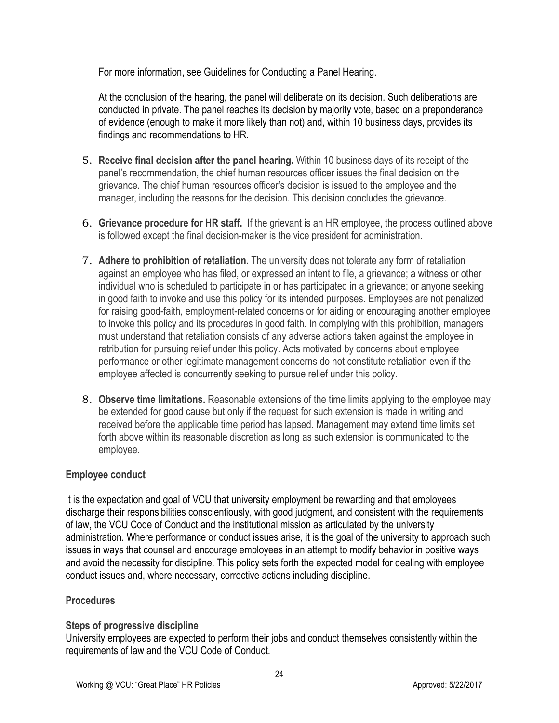For more information, see Guidelines for Conducting a Panel Hearing.

At the conclusion of the hearing, the panel will deliberate on its decision. Such deliberations are conducted in private. The panel reaches its decision by majority vote, based on a preponderance of evidence (enough to make it more likely than not) and, within 10 business days, provides its findings and recommendations to HR.

- 5. **Receive final decision after the panel hearing.** Within 10 business days of its receipt of the panel's recommendation, the chief human resources officer issues the final decision on the grievance. The chief human resources officer's decision is issued to the employee and the manager, including the reasons for the decision. This decision concludes the grievance.
- 6. **Grievance procedure for HR staff.** If the grievant is an HR employee, the process outlined above is followed except the final decision-maker is the vice president for administration.
- 7. **Adhere to prohibition of retaliation.** The university does not tolerate any form of retaliation against an employee who has filed, or expressed an intent to file, a grievance; a witness or other individual who is scheduled to participate in or has participated in a grievance; or anyone seeking in good faith to invoke and use this policy for its intended purposes. Employees are not penalized for raising good-faith, employment-related concerns or for aiding or encouraging another employee to invoke this policy and its procedures in good faith. In complying with this prohibition, managers must understand that retaliation consists of any adverse actions taken against the employee in retribution for pursuing relief under this policy. Acts motivated by concerns about employee performance or other legitimate management concerns do not constitute retaliation even if the employee affected is concurrently seeking to pursue relief under this policy.
- 8. **Observe time limitations.** Reasonable extensions of the time limits applying to the employee may be extended for good cause but only if the request for such extension is made in writing and received before the applicable time period has lapsed. Management may extend time limits set forth above within its reasonable discretion as long as such extension is communicated to the employee.

# **Employee conduct**

It is the expectation and goal of VCU that university employment be rewarding and that employees discharge their responsibilities conscientiously, with good judgment, and consistent with the requirements of law, the VCU Code of Conduct and the institutional mission as articulated by the university administration. Where performance or conduct issues arise, it is the goal of the university to approach such issues in ways that counsel and encourage employees in an attempt to modify behavior in positive ways and avoid the necessity for discipline. This policy sets forth the expected model for dealing with employee conduct issues and, where necessary, corrective actions including discipline.

# **Procedures**

# **Steps of progressive discipline**

University employees are expected to perform their jobs and conduct themselves consistently within the requirements of law and the VCU Code of Conduct.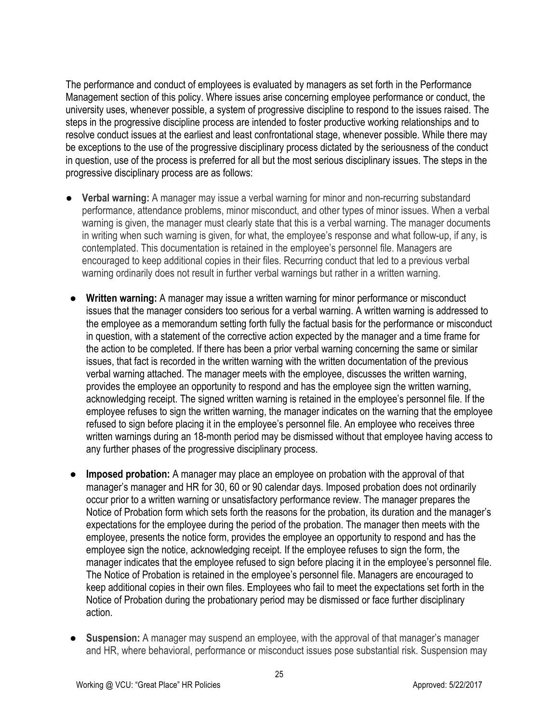The performance and conduct of employees is evaluated by managers as set forth in the Performance Management section of this policy. Where issues arise concerning employee performance or conduct, the university uses, whenever possible, a system of progressive discipline to respond to the issues raised. The steps in the progressive discipline process are intended to foster productive working relationships and to resolve conduct issues at the earliest and least confrontational stage, whenever possible. While there may be exceptions to the use of the progressive disciplinary process dictated by the seriousness of the conduct in question, use of the process is preferred for all but the most serious disciplinary issues. The steps in the progressive disciplinary process are as follows:

- **Verbal warning:** A manager may issue a verbal warning for minor and non-recurring substandard performance, attendance problems, minor misconduct, and other types of minor issues. When a verbal warning is given, the manager must clearly state that this is a verbal warning. The manager documents in writing when such warning is given, for what, the employee's response and what follow-up, if any, is contemplated. This documentation is retained in the employee's personnel file. Managers are encouraged to keep additional copies in their files. Recurring conduct that led to a previous verbal warning ordinarily does not result in further verbal warnings but rather in a written warning.
- **Written warning:** A manager may issue a written warning for minor performance or misconduct issues that the manager considers too serious for a verbal warning. A written warning is addressed to the employee as a memorandum setting forth fully the factual basis for the performance or misconduct in question, with a statement of the corrective action expected by the manager and a time frame for the action to be completed. If there has been a prior verbal warning concerning the same or similar issues, that fact is recorded in the written warning with the written documentation of the previous verbal warning attached. The manager meets with the employee, discusses the written warning, provides the employee an opportunity to respond and has the employee sign the written warning, acknowledging receipt. The signed written warning is retained in the employee's personnel file. If the employee refuses to sign the written warning, the manager indicates on the warning that the employee refused to sign before placing it in the employee's personnel file. An employee who receives three written warnings during an 18-month period may be dismissed without that employee having access to any further phases of the progressive disciplinary process.
- **Imposed probation:** A manager may place an employee on probation with the approval of that manager's manager and HR for 30, 60 or 90 calendar days. Imposed probation does not ordinarily occur prior to a written warning or unsatisfactory performance review. The manager prepares the Notice of Probation form which sets forth the reasons for the probation, its duration and the manager's expectations for the employee during the period of the probation. The manager then meets with the employee, presents the notice form, provides the employee an opportunity to respond and has the employee sign the notice, acknowledging receipt. If the employee refuses to sign the form, the manager indicates that the employee refused to sign before placing it in the employee's personnel file. The Notice of Probation is retained in the employee's personnel file. Managers are encouraged to keep additional copies in their own files. Employees who fail to meet the expectations set forth in the Notice of Probation during the probationary period may be dismissed or face further disciplinary action.
- **Suspension:** A manager may suspend an employee, with the approval of that manager's manager and HR, where behavioral, performance or misconduct issues pose substantial risk. Suspension may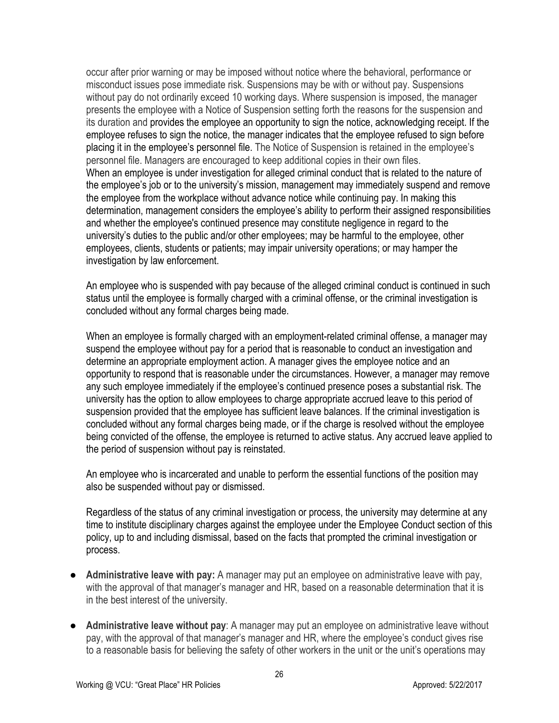occur after prior warning or may be imposed without notice where the behavioral, performance or misconduct issues pose immediate risk. Suspensions may be with or without pay. Suspensions without pay do not ordinarily exceed 10 working days. Where suspension is imposed, the manager presents the employee with a Notice of Suspension setting forth the reasons for the suspension and its duration and provides the employee an opportunity to sign the notice, acknowledging receipt. If the employee refuses to sign the notice, the manager indicates that the employee refused to sign before placing it in the employee's personnel file. The Notice of Suspension is retained in the employee's personnel file. Managers are encouraged to keep additional copies in their own files. When an employee is under investigation for alleged criminal conduct that is related to the nature of the employee's job or to the university's mission, management may immediately suspend and remove the employee from the workplace without advance notice while continuing pay. In making this determination, management considers the employee's ability to perform their assigned responsibilities and whether the employee's continued presence may constitute negligence in regard to the university's duties to the public and/or other employees; may be harmful to the employee, other employees, clients, students or patients; may impair university operations; or may hamper the investigation by law enforcement.

An employee who is suspended with pay because of the alleged criminal conduct is continued in such status until the employee is formally charged with a criminal offense, or the criminal investigation is concluded without any formal charges being made.

When an employee is formally charged with an employment-related criminal offense, a manager may suspend the employee without pay for a period that is reasonable to conduct an investigation and determine an appropriate employment action. A manager gives the employee notice and an opportunity to respond that is reasonable under the circumstances. However, a manager may remove any such employee immediately if the employee's continued presence poses a substantial risk. The university has the option to allow employees to charge appropriate accrued leave to this period of suspension provided that the employee has sufficient leave balances. If the criminal investigation is concluded without any formal charges being made, or if the charge is resolved without the employee being convicted of the offense, the employee is returned to active status. Any accrued leave applied to the period of suspension without pay is reinstated.

An employee who is incarcerated and unable to perform the essential functions of the position may also be suspended without pay or dismissed.

Regardless of the status of any criminal investigation or process, the university may determine at any time to institute disciplinary charges against the employee under the Employee Conduct section of this policy, up to and including dismissal, based on the facts that prompted the criminal investigation or process.

- **Administrative leave with pay:** A manager may put an employee on administrative leave with pay, with the approval of that manager's manager and HR, based on a reasonable determination that it is in the best interest of the university.
- **Administrative leave without pay**: A manager may put an employee on administrative leave without pay, with the approval of that manager's manager and HR, where the employee's conduct gives rise to a reasonable basis for believing the safety of other workers in the unit or the unit's operations may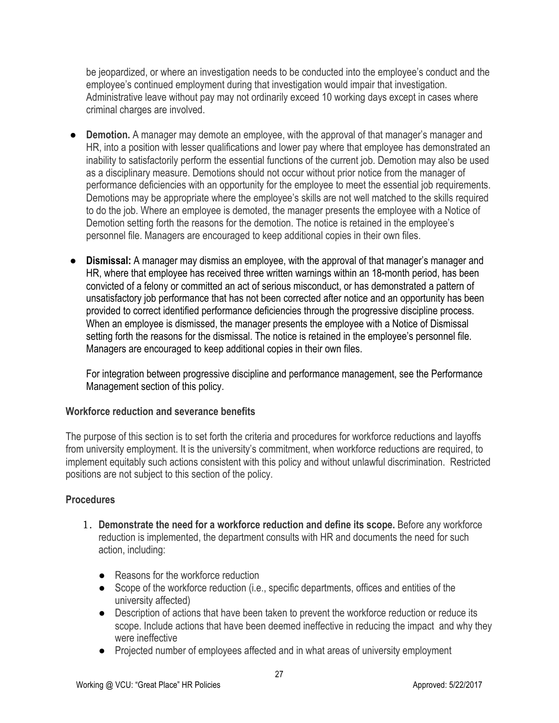be jeopardized, or where an investigation needs to be conducted into the employee's conduct and the employee's continued employment during that investigation would impair that investigation. Administrative leave without pay may not ordinarily exceed 10 working days except in cases where criminal charges are involved.

- **Demotion.** A manager may demote an employee, with the approval of that manager's manager and HR, into a position with lesser qualifications and lower pay where that employee has demonstrated an inability to satisfactorily perform the essential functions of the current job. Demotion may also be used as a disciplinary measure. Demotions should not occur without prior notice from the manager of performance deficiencies with an opportunity for the employee to meet the essential job requirements. Demotions may be appropriate where the employee's skills are not well matched to the skills required to do the job. Where an employee is demoted, the manager presents the employee with a Notice of Demotion setting forth the reasons for the demotion. The notice is retained in the employee's personnel file. Managers are encouraged to keep additional copies in their own files.
- **Dismissal:** A manager may dismiss an employee, with the approval of that manager's manager and HR, where that employee has received three written warnings within an 18-month period, has been convicted of a felony or committed an act of serious misconduct, or has demonstrated a pattern of unsatisfactory job performance that has not been corrected after notice and an opportunity has been provided to correct identified performance deficiencies through the progressive discipline process. When an employee is dismissed, the manager presents the employee with a Notice of Dismissal setting forth the reasons for the dismissal. The notice is retained in the employee's personnel file. Managers are encouraged to keep additional copies in their own files.

For integration between progressive discipline and performance management, see the Performance Management section of this policy.

# **Workforce reduction and severance benefits**

The purpose of this section is to set forth the criteria and procedures for workforce reductions and layoffs from university employment. It is the university's commitment, when workforce reductions are required, to implement equitably such actions consistent with this policy and without unlawful discrimination. Restricted positions are not subject to this section of the policy.

# **Procedures**

- 1. **Demonstrate the need for a workforce reduction and define its scope.** Before any workforce reduction is implemented, the department consults with HR and documents the need for such action, including:
	- Reasons for the workforce reduction
	- Scope of the workforce reduction (i.e., specific departments, offices and entities of the university affected)
	- Description of actions that have been taken to prevent the workforce reduction or reduce its scope. Include actions that have been deemed ineffective in reducing the impact and why they were ineffective
	- Projected number of employees affected and in what areas of university employment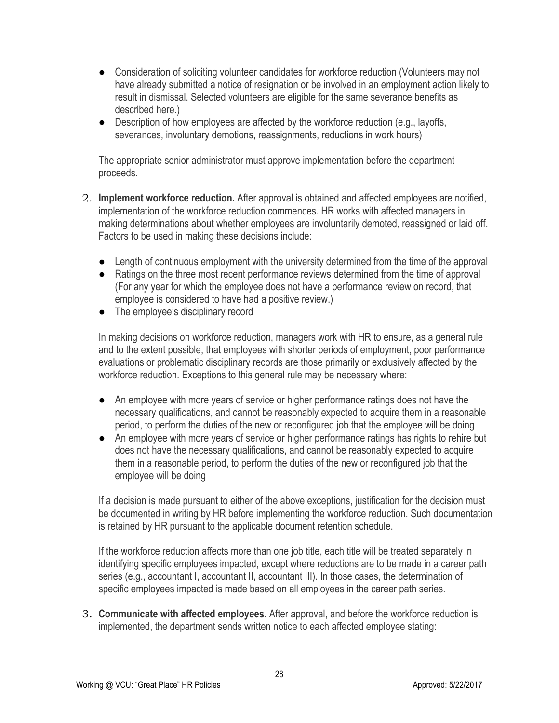- Consideration of soliciting volunteer candidates for workforce reduction (Volunteers may not have already submitted a notice of resignation or be involved in an employment action likely to result in dismissal. Selected volunteers are eligible for the same severance benefits as described here.)
- Description of how employees are affected by the workforce reduction (e.g., layoffs, severances, involuntary demotions, reassignments, reductions in work hours)

The appropriate senior administrator must approve implementation before the department proceeds.

- 2. **Implement workforce reduction.** After approval is obtained and affected employees are notified, implementation of the workforce reduction commences. HR works with affected managers in making determinations about whether employees are involuntarily demoted, reassigned or laid off. Factors to be used in making these decisions include:
	- Length of continuous employment with the university determined from the time of the approval
	- Ratings on the three most recent performance reviews determined from the time of approval (For any year for which the employee does not have a performance review on record, that employee is considered to have had a positive review.)
	- The employee's disciplinary record

In making decisions on workforce reduction, managers work with HR to ensure, as a general rule and to the extent possible, that employees with shorter periods of employment, poor performance evaluations or problematic disciplinary records are those primarily or exclusively affected by the workforce reduction. Exceptions to this general rule may be necessary where:

- An employee with more years of service or higher performance ratings does not have the necessary qualifications, and cannot be reasonably expected to acquire them in a reasonable period, to perform the duties of the new or reconfigured job that the employee will be doing
- An employee with more years of service or higher performance ratings has rights to rehire but does not have the necessary qualifications, and cannot be reasonably expected to acquire them in a reasonable period, to perform the duties of the new or reconfigured job that the employee will be doing

If a decision is made pursuant to either of the above exceptions, justification for the decision must be documented in writing by HR before implementing the workforce reduction. Such documentation is retained by HR pursuant to the applicable document retention schedule.

If the workforce reduction affects more than one job title, each title will be treated separately in identifying specific employees impacted, except where reductions are to be made in a career path series (e.g., accountant I, accountant II, accountant III). In those cases, the determination of specific employees impacted is made based on all employees in the career path series.

3. **Communicate with affected employees.** After approval, and before the workforce reduction is implemented, the department sends written notice to each affected employee stating: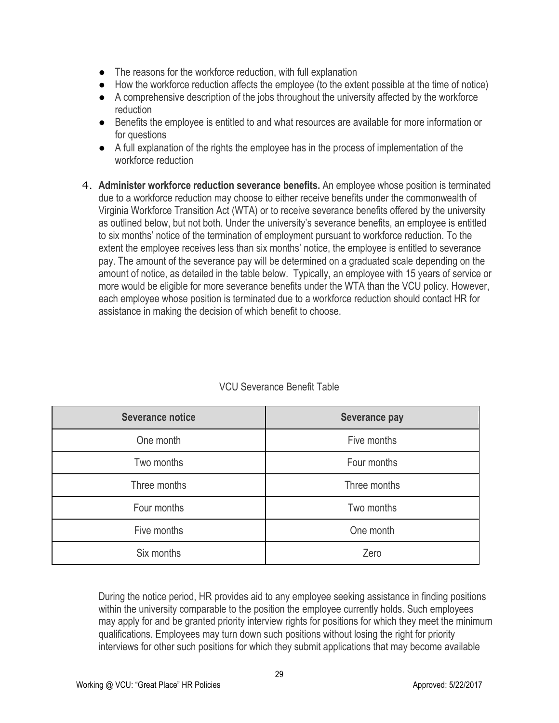- The reasons for the workforce reduction, with full explanation
- How the workforce reduction affects the employee (to the extent possible at the time of notice)
- A comprehensive description of the jobs throughout the university affected by the workforce reduction
- Benefits the employee is entitled to and what resources are available for more information or for questions
- A full explanation of the rights the employee has in the process of implementation of the workforce reduction
- 4. **Administer workforce reduction severance benefits.** An employee whose position is terminated due to a workforce reduction may choose to either receive benefits under the commonwealth of Virginia Workforce Transition Act (WTA) or to receive severance benefits offered by the university as outlined below, but not both. Under the university's severance benefits, an employee is entitled to six months' notice of the termination of employment pursuant to workforce reduction. To the extent the employee receives less than six months' notice, the employee is entitled to severance pay. The amount of the severance pay will be determined on a graduated scale depending on the amount of notice, as detailed in the table below. Typically, an employee with 15 years of service or more would be eligible for more severance benefits under the WTA than the VCU policy. However, each employee whose position is terminated due to a workforce reduction should contact HR for assistance in making the decision of which benefit to choose.

| <b>Severance notice</b> | <b>Severance pay</b> |  |
|-------------------------|----------------------|--|
| One month               | Five months          |  |
| Two months              | Four months          |  |
| Three months            | Three months         |  |
| Four months             | Two months           |  |
| Five months             | One month            |  |
| Six months              | Zero                 |  |

# VCU Severance Benefit Table

During the notice period, HR provides aid to any employee seeking assistance in finding positions within the university comparable to the position the employee currently holds. Such employees may apply for and be granted priority interview rights for positions for which they meet the minimum qualifications. Employees may turn down such positions without losing the right for priority interviews for other such positions for which they submit applications that may become available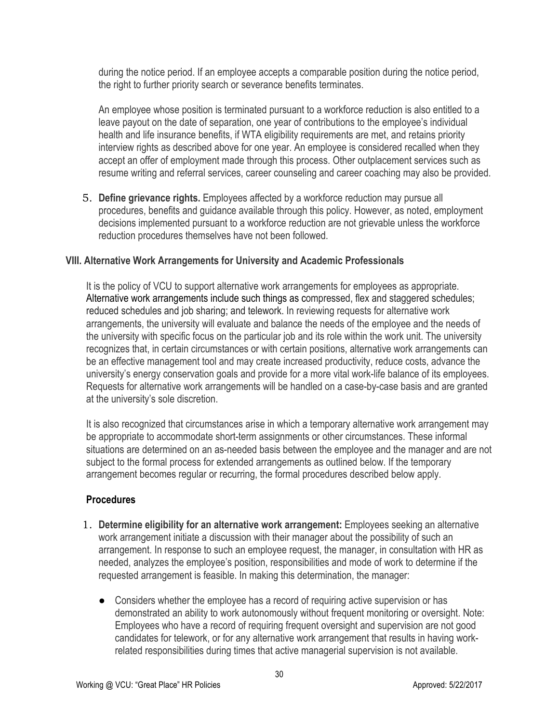during the notice period. If an employee accepts a comparable position during the notice period, the right to further priority search or severance benefits terminates.

An employee whose position is terminated pursuant to a workforce reduction is also entitled to a leave payout on the date of separation, one year of contributions to the employee's individual health and life insurance benefits, if WTA eligibility requirements are met, and retains priority interview rights as described above for one year. An employee is considered recalled when they accept an offer of employment made through this process. Other outplacement services such as resume writing and referral services, career counseling and career coaching may also be provided.

5. **Define grievance rights.** Employees affected by a workforce reduction may pursue all procedures, benefits and guidance available through this policy. However, as noted, employment decisions implemented pursuant to a workforce reduction are not grievable unless the workforce reduction procedures themselves have not been followed.

#### **VIII. Alternative Work Arrangements for University and Academic Professionals**

It is the policy of VCU to support alternative work arrangements for employees as appropriate. Alternative work arrangements include such things as compressed, flex and staggered schedules; reduced schedules and job sharing; and telework. In reviewing requests for alternative work arrangements, the university will evaluate and balance the needs of the employee and the needs of the university with specific focus on the particular job and its role within the work unit. The university recognizes that, in certain circumstances or with certain positions, alternative work arrangements can be an effective management tool and may create increased productivity, reduce costs, advance the university's energy conservation goals and provide for a more vital work-life balance of its employees. Requests for alternative work arrangements will be handled on a case-by-case basis and are granted at the university's sole discretion.

It is also recognized that circumstances arise in which a temporary alternative work arrangement may be appropriate to accommodate short-term assignments or other circumstances. These informal situations are determined on an as-needed basis between the employee and the manager and are not subject to the formal process for extended arrangements as outlined below. If the temporary arrangement becomes regular or recurring, the formal procedures described below apply.

#### **Procedures**

- 1. **Determine eligibility for an alternative work arrangement:** Employees seeking an alternative work arrangement initiate a discussion with their manager about the possibility of such an arrangement. In response to such an employee request, the manager, in consultation with HR as needed, analyzes the employee's position, responsibilities and mode of work to determine if the requested arrangement is feasible. In making this determination, the manager:
	- Considers whether the employee has a record of requiring active supervision or has demonstrated an ability to work autonomously without frequent monitoring or oversight. Note: Employees who have a record of requiring frequent oversight and supervision are not good candidates for telework, or for any alternative work arrangement that results in having workrelated responsibilities during times that active managerial supervision is not available.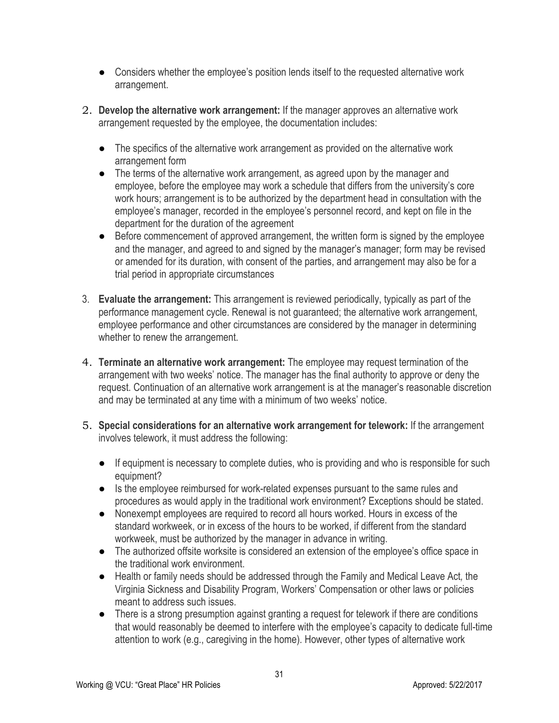- Considers whether the employee's position lends itself to the requested alternative work arrangement.
- 2. **Develop the alternative work arrangement:** If the manager approves an alternative work arrangement requested by the employee, the documentation includes:
	- The specifics of the alternative work arrangement as provided on the alternative work arrangement form
	- The terms of the alternative work arrangement, as agreed upon by the manager and employee, before the employee may work a schedule that differs from the university's core work hours; arrangement is to be authorized by the department head in consultation with the employee's manager, recorded in the employee's personnel record, and kept on file in the department for the duration of the agreement
	- Before commencement of approved arrangement, the written form is signed by the employee and the manager, and agreed to and signed by the manager's manager; form may be revised or amended for its duration, with consent of the parties, and arrangement may also be for a trial period in appropriate circumstances
- 3. **Evaluate the arrangement:** This arrangement is reviewed periodically, typically as part of the performance management cycle. Renewal is not guaranteed; the alternative work arrangement, employee performance and other circumstances are considered by the manager in determining whether to renew the arrangement.
- 4. **Terminate an alternative work arrangement:** The employee may request termination of the arrangement with two weeks' notice. The manager has the final authority to approve or deny the request. Continuation of an alternative work arrangement is at the manager's reasonable discretion and may be terminated at any time with a minimum of two weeks' notice.
- 5. **Special considerations for an alternative work arrangement for telework:** If the arrangement involves telework, it must address the following:
	- If equipment is necessary to complete duties, who is providing and who is responsible for such equipment?
	- Is the employee reimbursed for work-related expenses pursuant to the same rules and procedures as would apply in the traditional work environment? Exceptions should be stated.
	- Nonexempt employees are required to record all hours worked. Hours in excess of the standard workweek, or in excess of the hours to be worked, if different from the standard workweek, must be authorized by the manager in advance in writing.
	- The authorized offsite worksite is considered an extension of the employee's office space in the traditional work environment.
	- Health or family needs should be addressed through the Family and Medical Leave Act*,* the Virginia Sickness and Disability Program, Workers' Compensation or other laws or policies meant to address such issues.
	- There is a strong presumption against granting a request for telework if there are conditions that would reasonably be deemed to interfere with the employee's capacity to dedicate full-time attention to work (e.g., caregiving in the home). However, other types of alternative work

31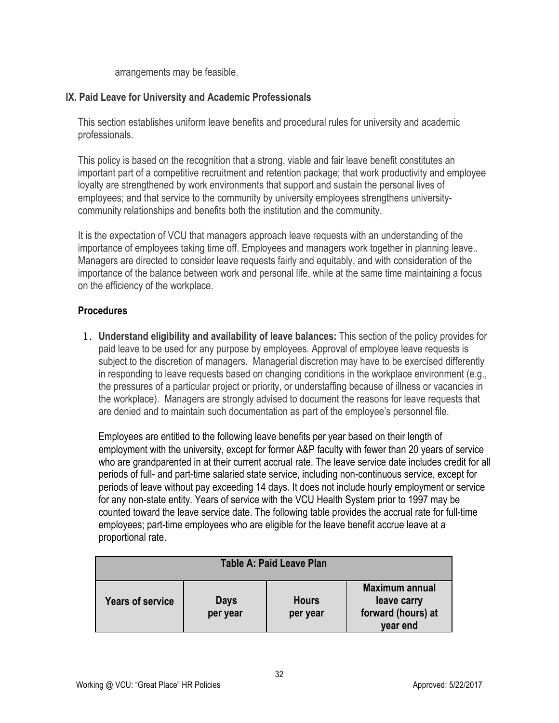arrangements may be feasible.

# **IX. Paid Leave for University and Academic Professionals**

This section establishes uniform leave benefits and procedural rules for university and academic professionals.

This policy is based on the recognition that a strong, viable and fair leave benefit constitutes an important part of a competitive recruitment and retention package; that work productivity and employee loyalty are strengthened by work environments that support and sustain the personal lives of employees; and that service to the community by university employees strengthens universitycommunity relationships and benefits both the institution and the community.

It is the expectation of VCU that managers approach leave requests with an understanding of the importance of employees taking time off. Employees and managers work together in planning leave.. Managers are directed to consider leave requests fairly and equitably, and with consideration of the importance of the balance between work and personal life, while at the same time maintaining a focus on the efficiency of the workplace.

# **Procedures**

1. **Understand eligibility and availability of leave balances:** This section of the policy provides for paid leave to be used for any purpose by employees. Approval of employee leave requests is subject to the discretion of managers. Managerial discretion may have to be exercised differently in responding to leave requests based on changing conditions in the workplace environment (e.g., the pressures of a particular project or priority, or understaffing because of illness or vacancies in the workplace). Managers are strongly advised to document the reasons for leave requests that are denied and to maintain such documentation as part of the employee's personnel file.

Employees are entitled to the following leave benefits per year based on their length of employment with the university, except for former A&P faculty with fewer than 20 years of service who are grandparented in at their current accrual rate. The leave service date includes credit for all periods of full- and part-time salaried state service, including non-continuous service, except for periods of leave without pay exceeding 14 days. It does not include hourly employment or service for any non-state entity. Years of service with the VCU Health System prior to 1997 may be counted toward the leave service date. The following table provides the accrual rate for full-time employees; part-time employees who are eligible for the leave benefit accrue leave at a proportional rate.

| <b>Table A: Paid Leave Plan</b> |                         |                          |                                                                        |  |  |  |  |
|---------------------------------|-------------------------|--------------------------|------------------------------------------------------------------------|--|--|--|--|
| <b>Years of service</b>         | <b>Days</b><br>per year | <b>Hours</b><br>per year | <b>Maximum annual</b><br>leave carry<br>forward (hours) at<br>year end |  |  |  |  |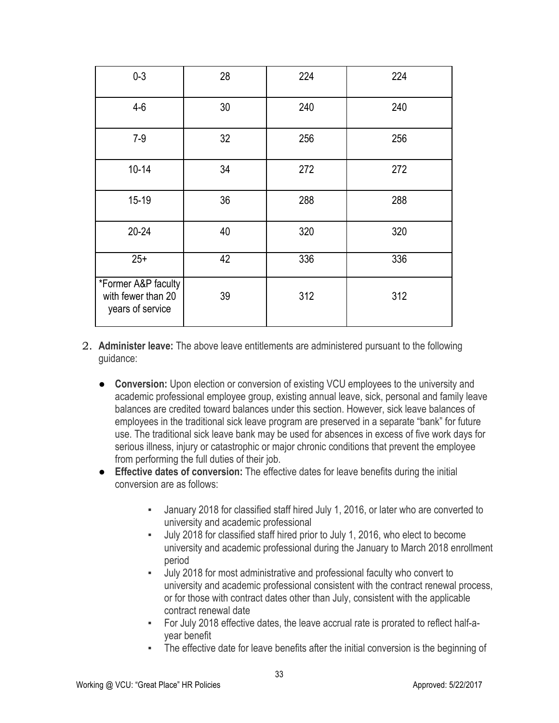| $0 - 3$                                                       | 28 | 224 | 224 |
|---------------------------------------------------------------|----|-----|-----|
| $4-6$                                                         | 30 | 240 | 240 |
| $7-9$                                                         | 32 | 256 | 256 |
| $10 - 14$                                                     | 34 | 272 | 272 |
| $15 - 19$                                                     | 36 | 288 | 288 |
| $20 - 24$                                                     | 40 | 320 | 320 |
| $25+$                                                         | 42 | 336 | 336 |
| *Former A&P faculty<br>with fewer than 20<br>years of service | 39 | 312 | 312 |

- 2. **Administer leave:** The above leave entitlements are administered pursuant to the following guidance:
	- **Conversion:** Upon election or conversion of existing VCU employees to the university and academic professional employee group, existing annual leave, sick, personal and family leave balances are credited toward balances under this section. However, sick leave balances of employees in the traditional sick leave program are preserved in a separate "bank" for future use. The traditional sick leave bank may be used for absences in excess of five work days for serious illness, injury or catastrophic or major chronic conditions that prevent the employee from performing the full duties of their job.
	- **Effective dates of conversion:** The effective dates for leave benefits during the initial conversion are as follows:
		- January 2018 for classified staff hired July 1, 2016, or later who are converted to university and academic professional
		- July 2018 for classified staff hired prior to July 1, 2016, who elect to become university and academic professional during the January to March 2018 enrollment period
		- July 2018 for most administrative and professional faculty who convert to university and academic professional consistent with the contract renewal process, or for those with contract dates other than July, consistent with the applicable contract renewal date
		- For July 2018 effective dates, the leave accrual rate is prorated to reflect half-ayear benefit
		- The effective date for leave benefits after the initial conversion is the beginning of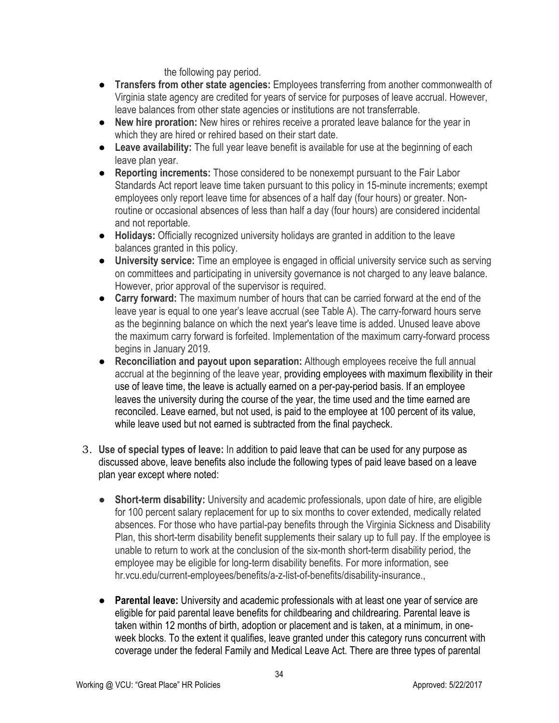the following pay period.

- **Transfers from other state agencies:** Employees transferring from another commonwealth of Virginia state agency are credited for years of service for purposes of leave accrual. However, leave balances from other state agencies or institutions are not transferrable.
- **New hire proration:** New hires or rehires receive a prorated leave balance for the year in which they are hired or rehired based on their start date.
- **Leave availability:** The full year leave benefit is available for use at the beginning of each leave plan year.
- **Reporting increments:** Those considered to be nonexempt pursuant to the Fair Labor Standards Act report leave time taken pursuant to this policy in 15-minute increments; exempt employees only report leave time for absences of a half day (four hours) or greater. Nonroutine or occasional absences of less than half a day (four hours) are considered incidental and not reportable.
- **Holidays:** Officially recognized university holidays are granted in addition to the leave balances granted in this policy.
- **University service:** Time an employee is engaged in official university service such as serving on committees and participating in university governance is not charged to any leave balance. However, prior approval of the supervisor is required.
- **Carry forward:** The maximum number of hours that can be carried forward at the end of the leave year is equal to one year's leave accrual (see Table A). The carry-forward hours serve as the beginning balance on which the next year's leave time is added. Unused leave above the maximum carry forward is forfeited. Implementation of the maximum carry-forward process begins in January 2019.
- **Reconciliation and payout upon separation:** Although employees receive the full annual accrual at the beginning of the leave year, providing employees with maximum flexibility in their use of leave time, the leave is actually earned on a per-pay-period basis. If an employee leaves the university during the course of the year, the time used and the time earned are reconciled. Leave earned, but not used, is paid to the employee at 100 percent of its value, while leave used but not earned is subtracted from the final paycheck.
- 3. **Use of special types of leave:** In addition to paid leave that can be used for any purpose as discussed above, leave benefits also include the following types of paid leave based on a leave plan year except where noted:
	- **Short-term disability:** University and academic professionals, upon date of hire, are eligible for 100 percent salary replacement for up to six months to cover extended, medically related absences. For those who have partial-pay benefits through the Virginia Sickness and Disability Plan, this short-term disability benefit supplements their salary up to full pay. If the employee is unable to return to work at the conclusion of the six-month short-term disability period, the employee may be eligible for long-term disability benefits. For more information, see hr.vcu.edu/current-employees/benefits/a-z-list-of-benefits/disability-insurance.,
	- **Parental leave:** University and academic professionals with at least one year of service are eligible for paid parental leave benefits for childbearing and childrearing. Parental leave is taken within 12 months of birth, adoption or placement and is taken, at a minimum, in oneweek blocks. To the extent it qualifies, leave granted under this category runs concurrent with coverage under the federal Family and Medical Leave Act. There are three types of parental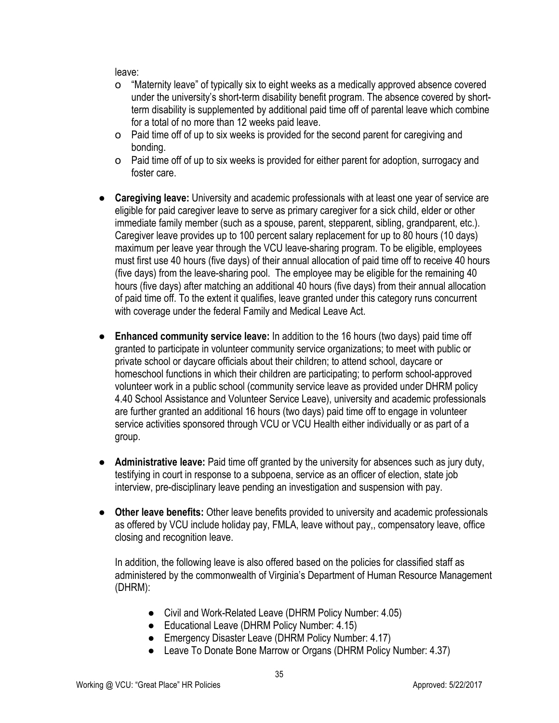leave:

- o "Maternity leave" of typically six to eight weeks as a medically approved absence covered under the university's short-term disability benefit program. The absence covered by shortterm disability is supplemented by additional paid time off of parental leave which combine for a total of no more than 12 weeks paid leave.
- o Paid time off of up to six weeks is provided for the second parent for caregiving and bonding.
- o Paid time off of up to six weeks is provided for either parent for adoption, surrogacy and foster care.
- **Caregiving leave:** University and academic professionals with at least one year of service are eligible for paid caregiver leave to serve as primary caregiver for a sick child, elder or other immediate family member (such as a spouse, parent, stepparent, sibling, grandparent, etc.). Caregiver leave provides up to 100 percent salary replacement for up to 80 hours (10 days) maximum per leave year through the VCU leave-sharing program. To be eligible, employees must first use 40 hours (five days) of their annual allocation of paid time off to receive 40 hours (five days) from the leave-sharing pool. The employee may be eligible for the remaining 40 hours (five days) after matching an additional 40 hours (five days) from their annual allocation of paid time off. To the extent it qualifies, leave granted under this category runs concurrent with coverage under the federal Family and Medical Leave Act.
- **Enhanced community service leave:** In addition to the 16 hours (two days) paid time off granted to participate in volunteer community service organizations; to meet with public or private school or daycare officials about their children; to attend school, daycare or homeschool functions in which their children are participating; to perform school-approved volunteer work in a public school (community service leave as provided under DHRM policy 4.40 School Assistance and Volunteer Service Leave), university and academic professionals are further granted an additional 16 hours (two days) paid time off to engage in volunteer service activities sponsored through VCU or VCU Health either individually or as part of a group.
- **Administrative leave:** Paid time off granted by the university for absences such as jury duty, testifying in court in response to a subpoena, service as an officer of election, state job interview, pre-disciplinary leave pending an investigation and suspension with pay.
- **Other leave benefits:** Other leave benefits provided to university and academic professionals as offered by VCU include holiday pay, FMLA, leave without pay,, compensatory leave, office closing and recognition leave.

In addition, the following leave is also offered based on the policies for classified staff as administered by the commonwealth of Virginia's Department of Human Resource Management (DHRM):

- Civil and Work-Related Leave (DHRM Policy Number: 4.05)
- Educational Leave (DHRM Policy Number: 4.15)
- Emergency Disaster Leave (DHRM Policy Number: 4.17)
- Leave To Donate Bone Marrow or Organs (DHRM Policy Number: 4.37)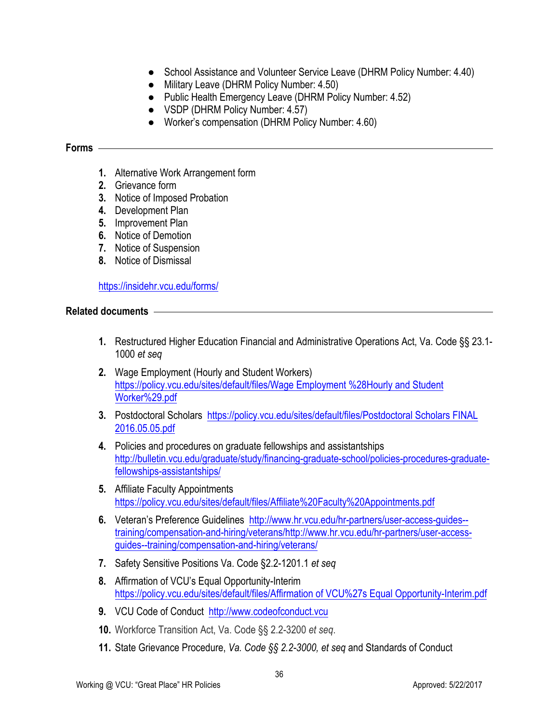- School Assistance and Volunteer Service Leave (DHRM Policy Number: 4.40)
- Military Leave (DHRM Policy Number: 4.50)
- Public Health Emergency Leave (DHRM Policy Number: 4.52)
- VSDP (DHRM Policy Number: 4.57)
- Worker's compensation (DHRM Policy Number: 4.60)

#### **Forms**

- **1.** Alternative Work Arrangement form
- **2.** Grievance form
- **3.** Notice of Imposed Probation
- **4.** Development Plan
- **5.** Improvement Plan
- **6.** Notice of Demotion
- **7.** Notice of Suspension
- **8.** Notice of Dismissal

https://insidehr.vcu.edu/forms/

#### **Related documents**

- **1.** Restructured Higher Education Financial and Administrative Operations Act, Va. Code §§ 23.1- 1000 *et seq*
- **2.** Wage Employment (Hourly and Student Workers) https://policy.vcu.edu/sites/default/files/Wage Employment %28Hourly and Student Worker%29.pdf
- **3.** Postdoctoral Scholars https://policy.vcu.edu/sites/default/files/Postdoctoral Scholars FINAL 2016.05.05.pdf
- **4.** Policies and procedures on graduate fellowships and assistantships http://bulletin.vcu.edu/graduate/study/financing-graduate-school/policies-procedures-graduatefellowships-assistantships/
- **5.** Affiliate Faculty Appointments https://policy.vcu.edu/sites/default/files/Affiliate%20Faculty%20Appointments.pdf
- **6.** Veteran's Preference Guidelines http://www.hr.vcu.edu/hr-partners/user-access-guides- training/compensation-and-hiring/veterans/http://www.hr.vcu.edu/hr-partners/user-accessguides--training/compensation-and-hiring/veterans/
- **7.** Safety Sensitive Positions Va. Code §2.2-1201.1 *et seq*
- **8.** Affirmation of VCU's Equal Opportunity-Interim https://policy.vcu.edu/sites/default/files/Affirmation of VCU%27s Equal Opportunity-Interim.pdf
- **9.** VCU Code of Conduct http://www.codeofconduct.vcu
- **10.** Workforce Transition Act, Va. Code §§ 2.2-3200 *et seq*.
- **11.** State Grievance Procedure, *Va. Code §§ 2.2-3000, et seq* and Standards of Conduct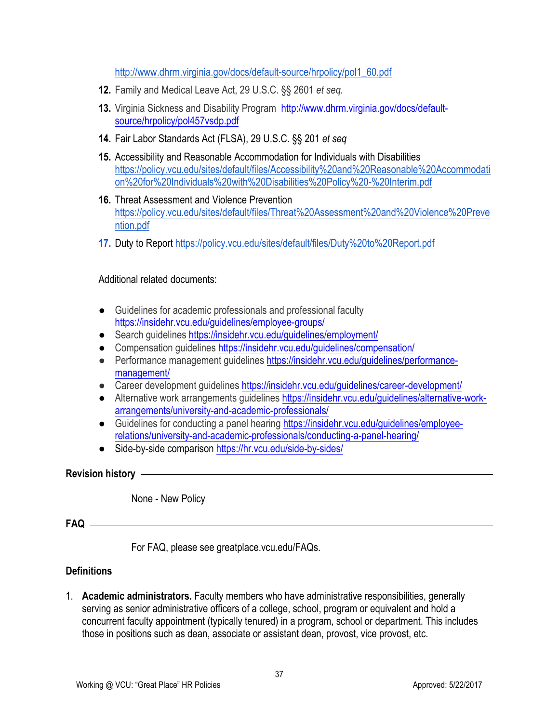http://www.dhrm.virginia.gov/docs/default-source/hrpolicy/pol1\_60.pdf

- **12.** Family and Medical Leave Act, 29 U.S.C. §§ 2601 *et seq.*
- **13.** Virginia Sickness and Disability Program http://www.dhrm.virginia.gov/docs/defaultsource/hrpolicy/pol457vsdp.pdf
- **14.** Fair Labor Standards Act (FLSA), 29 U.S.C. §§ 201 *et seq*
- **15.** Accessibility and Reasonable Accommodation for Individuals with Disabilities https://policy.vcu.edu/sites/default/files/Accessibility%20and%20Reasonable%20Accommodati on%20for%20Individuals%20with%20Disabilities%20Policy%20-%20Interim.pdf
- **16.** Threat Assessment and Violence Prevention https://policy.vcu.edu/sites/default/files/Threat%20Assessment%20and%20Violence%20Preve ntion.pdf
- **17.** Duty to Report https://policy.vcu.edu/sites/default/files/Duty%20to%20Report.pdf

#### Additional related documents:

- Guidelines for academic professionals and professional faculty https://insidehr.vcu.edu/guidelines/employee-groups/
- Search guidelines https://insidehr.vcu.edu/guidelines/employment/
- Compensation guidelines https://insidehr.vcu.edu/guidelines/compensation/
- Performance management guidelines https://insidehr.vcu.edu/guidelines/performancemanagement/
- Career development guidelines https://insidehr.vcu.edu/guidelines/career-development/
- Alternative work arrangements guidelines https://insidehr.vcu.edu/guidelines/alternative-workarrangements/university-and-academic-professionals/
- Guidelines for conducting a panel hearing https://insidehr.vcu.edu/guidelines/employeerelations/university-and-academic-professionals/conducting-a-panel-hearing/
- Side-by-side comparison https://hr.vcu.edu/side-by-sides/

**Revision history** 

None - New Policy

# **FAQ**

For FAQ, please see greatplace.vcu.edu/FAQs.

#### **Definitions**

1. **Academic administrators.** Faculty members who have administrative responsibilities, generally serving as senior administrative officers of a college, school, program or equivalent and hold a concurrent faculty appointment (typically tenured) in a program, school or department. This includes those in positions such as dean, associate or assistant dean, provost, vice provost, etc.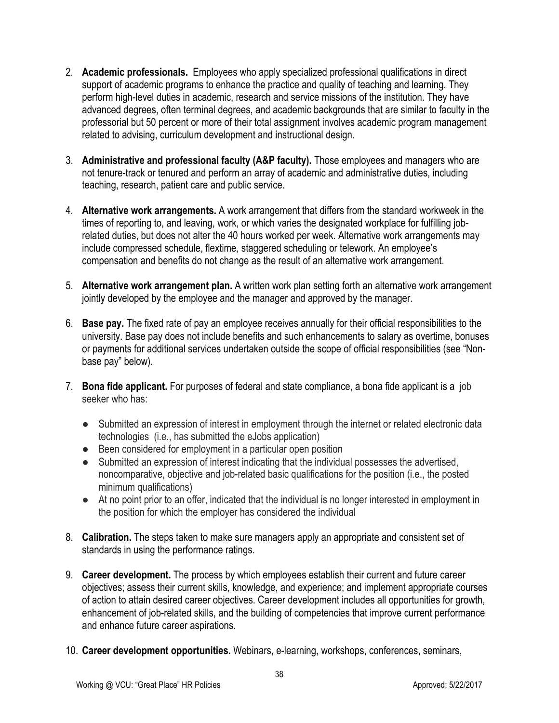- 2. **Academic professionals.** Employees who apply specialized professional qualifications in direct support of academic programs to enhance the practice and quality of teaching and learning. They perform high-level duties in academic, research and service missions of the institution. They have advanced degrees, often terminal degrees, and academic backgrounds that are similar to faculty in the professorial but 50 percent or more of their total assignment involves academic program management related to advising, curriculum development and instructional design.
- 3. **Administrative and professional faculty (A&P faculty).** Those employees and managers who are not tenure-track or tenured and perform an array of academic and administrative duties, including teaching, research, patient care and public service.
- 4. **Alternative work arrangements.** A work arrangement that differs from the standard workweek in the times of reporting to, and leaving, work, or which varies the designated workplace for fulfilling jobrelated duties, but does not alter the 40 hours worked per week. Alternative work arrangements may include compressed schedule, flextime, staggered scheduling or telework. An employee's compensation and benefits do not change as the result of an alternative work arrangement.
- 5. **Alternative work arrangement plan.** A written work plan setting forth an alternative work arrangement jointly developed by the employee and the manager and approved by the manager.
- 6. **Base pay.** The fixed rate of pay an employee receives annually for their official responsibilities to the university. Base pay does not include benefits and such enhancements to salary as overtime, bonuses or payments for additional services undertaken outside the scope of official responsibilities (see "Nonbase pay" below).
- 7. **Bona fide applicant.** For purposes of federal and state compliance, a bona fide applicant is a job seeker who has:
	- Submitted an expression of interest in employment through the internet or related electronic data technologies (i.e., has submitted the eJobs application)
	- Been considered for employment in a particular open position
	- Submitted an expression of interest indicating that the individual possesses the advertised, noncomparative, objective and job-related basic qualifications for the position (i.e., the posted minimum qualifications)
	- At no point prior to an offer, indicated that the individual is no longer interested in employment in the position for which the employer has considered the individual
- 8. **Calibration.** The steps taken to make sure managers apply an appropriate and consistent set of standards in using the performance ratings.
- 9. **Career development.** The process by which employees establish their current and future career objectives; assess their current skills, knowledge, and experience; and implement appropriate courses of action to attain desired career objectives. Career development includes all opportunities for growth, enhancement of job-related skills, and the building of competencies that improve current performance and enhance future career aspirations.
- 10. **Career development opportunities.** Webinars, e-learning, workshops, conferences, seminars,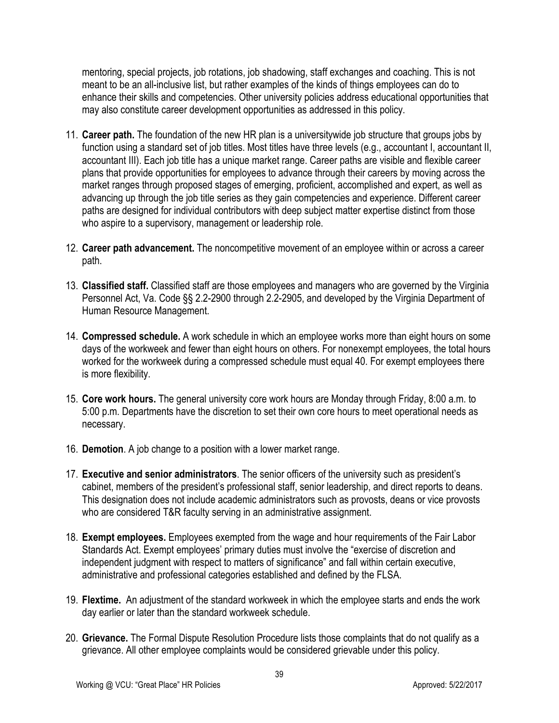mentoring, special projects, job rotations, job shadowing, staff exchanges and coaching. This is not meant to be an all-inclusive list, but rather examples of the kinds of things employees can do to enhance their skills and competencies. Other university policies address educational opportunities that may also constitute career development opportunities as addressed in this policy.

- 11. **Career path.** The foundation of the new HR plan is a universitywide job structure that groups jobs by function using a standard set of job titles. Most titles have three levels (e.g., accountant I, accountant II, accountant III). Each job title has a unique market range. Career paths are visible and flexible career plans that provide opportunities for employees to advance through their careers by moving across the market ranges through proposed stages of emerging, proficient, accomplished and expert, as well as advancing up through the job title series as they gain competencies and experience. Different career paths are designed for individual contributors with deep subject matter expertise distinct from those who aspire to a supervisory, management or leadership role.
- 12. **Career path advancement.** The noncompetitive movement of an employee within or across a career path.
- 13. **Classified staff.** Classified staff are those employees and managers who are governed by the Virginia Personnel Act, Va. Code §§ 2.2-2900 through 2.2-2905, and developed by the Virginia Department of Human Resource Management.
- 14. **Compressed schedule.** A work schedule in which an employee works more than eight hours on some days of the workweek and fewer than eight hours on others. For nonexempt employees, the total hours worked for the workweek during a compressed schedule must equal 40. For exempt employees there is more flexibility.
- 15. **Core work hours.** The general university core work hours are Monday through Friday, 8:00 a.m. to 5:00 p.m. Departments have the discretion to set their own core hours to meet operational needs as necessary.
- 16. **Demotion**. A job change to a position with a lower market range.
- 17. **Executive and senior administrators**. The senior officers of the university such as president's cabinet, members of the president's professional staff, senior leadership, and direct reports to deans. This designation does not include academic administrators such as provosts, deans or vice provosts who are considered T&R faculty serving in an administrative assignment.
- 18. **Exempt employees.** Employees exempted from the wage and hour requirements of the Fair Labor Standards Act. Exempt employees' primary duties must involve the "exercise of discretion and independent judgment with respect to matters of significance" and fall within certain executive, administrative and professional categories established and defined by the FLSA.
- 19. **Flextime.** An adjustment of the standard workweek in which the employee starts and ends the work day earlier or later than the standard workweek schedule.
- 20. **Grievance.** The Formal Dispute Resolution Procedure lists those complaints that do not qualify as a grievance. All other employee complaints would be considered grievable under this policy.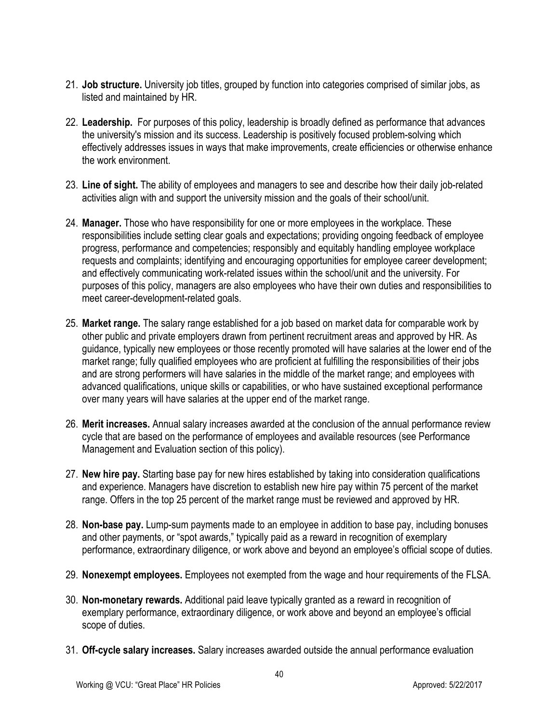- 21. **Job structure.** University job titles, grouped by function into categories comprised of similar jobs, as listed and maintained by HR.
- 22. **Leadership.** For purposes of this policy, leadership is broadly defined as performance that advances the university's mission and its success. Leadership is positively focused problem-solving which effectively addresses issues in ways that make improvements, create efficiencies or otherwise enhance the work environment.
- 23. **Line of sight.** The ability of employees and managers to see and describe how their daily job-related activities align with and support the university mission and the goals of their school/unit.
- 24. **Manager.** Those who have responsibility for one or more employees in the workplace. These responsibilities include setting clear goals and expectations; providing ongoing feedback of employee progress, performance and competencies; responsibly and equitably handling employee workplace requests and complaints; identifying and encouraging opportunities for employee career development; and effectively communicating work-related issues within the school/unit and the university. For purposes of this policy, managers are also employees who have their own duties and responsibilities to meet career-development-related goals.
- 25. **Market range.** The salary range established for a job based on market data for comparable work by other public and private employers drawn from pertinent recruitment areas and approved by HR. As guidance, typically new employees or those recently promoted will have salaries at the lower end of the market range; fully qualified employees who are proficient at fulfilling the responsibilities of their jobs and are strong performers will have salaries in the middle of the market range; and employees with advanced qualifications, unique skills or capabilities, or who have sustained exceptional performance over many years will have salaries at the upper end of the market range.
- 26. **Merit increases.** Annual salary increases awarded at the conclusion of the annual performance review cycle that are based on the performance of employees and available resources (see Performance Management and Evaluation section of this policy).
- 27. **New hire pay.** Starting base pay for new hires established by taking into consideration qualifications and experience. Managers have discretion to establish new hire pay within 75 percent of the market range. Offers in the top 25 percent of the market range must be reviewed and approved by HR.
- 28. **Non-base pay.** Lump-sum payments made to an employee in addition to base pay, including bonuses and other payments, or "spot awards," typically paid as a reward in recognition of exemplary performance, extraordinary diligence, or work above and beyond an employee's official scope of duties.
- 29. **Nonexempt employees.** Employees not exempted from the wage and hour requirements of the FLSA.
- 30. **Non-monetary rewards.** Additional paid leave typically granted as a reward in recognition of exemplary performance, extraordinary diligence, or work above and beyond an employee's official scope of duties.
- 31. **Off-cycle salary increases.** Salary increases awarded outside the annual performance evaluation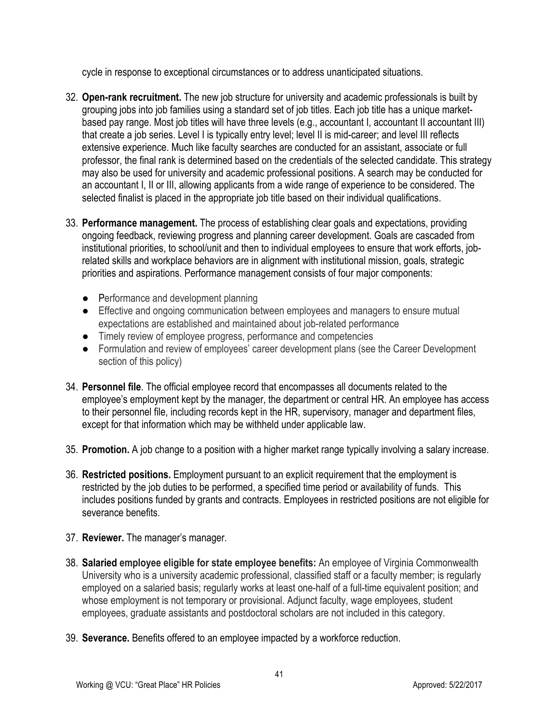cycle in response to exceptional circumstances or to address unanticipated situations.

- 32. **Open-rank recruitment.** The new job structure for university and academic professionals is built by grouping jobs into job families using a standard set of job titles. Each job title has a unique marketbased pay range. Most job titles will have three levels (e.g., accountant I, accountant II accountant III) that create a job series. Level I is typically entry level; level II is mid-career; and level III reflects extensive experience. Much like faculty searches are conducted for an assistant, associate or full professor, the final rank is determined based on the credentials of the selected candidate. This strategy may also be used for university and academic professional positions. A search may be conducted for an accountant I, II or III, allowing applicants from a wide range of experience to be considered. The selected finalist is placed in the appropriate job title based on their individual qualifications.
- 33. **Performance management.** The process of establishing clear goals and expectations, providing ongoing feedback, reviewing progress and planning career development. Goals are cascaded from institutional priorities, to school/unit and then to individual employees to ensure that work efforts, jobrelated skills and workplace behaviors are in alignment with institutional mission, goals, strategic priorities and aspirations. Performance management consists of four major components:
	- Performance and development planning
	- Effective and ongoing communication between employees and managers to ensure mutual expectations are established and maintained about job-related performance
	- Timely review of employee progress, performance and competencies
	- Formulation and review of employees' career development plans (see the Career Development section of this policy)
- 34. **Personnel file**. The official employee record that encompasses all documents related to the employee's employment kept by the manager, the department or central HR. An employee has access to their personnel file, including records kept in the HR, supervisory, manager and department files, except for that information which may be withheld under applicable law.
- 35. **Promotion.** A job change to a position with a higher market range typically involving a salary increase.
- 36. **Restricted positions.** Employment pursuant to an explicit requirement that the employment is restricted by the job duties to be performed, a specified time period or availability of funds. This includes positions funded by grants and contracts. Employees in restricted positions are not eligible for severance benefits.
- 37. **Reviewer.** The manager's manager.
- 38. **Salaried employee eligible for state employee benefits:** An employee of Virginia Commonwealth University who is a university academic professional, classified staff or a faculty member; is regularly employed on a salaried basis; regularly works at least one-half of a full-time equivalent position; and whose employment is not temporary or provisional. Adjunct faculty, wage employees, student employees, graduate assistants and postdoctoral scholars are not included in this category.
- 39. **Severance.** Benefits offered to an employee impacted by a workforce reduction.